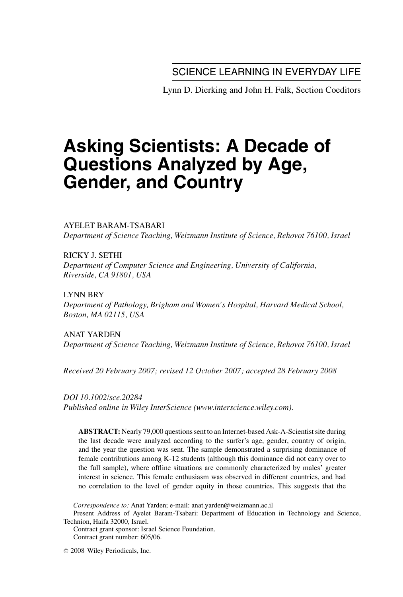# SCIENCE LEARNING IN EVERYDAY LIFE

Lynn D. Dierking and John H. Falk, Section Coeditors

# **Asking Scientists: A Decade of Questions Analyzed by Age, Gender, and Country**

AYELET BARAM-TSABARI

*Department of Science Teaching, Weizmann Institute of Science, Rehovot 76100, Israel*

RICKY J. SETHI *Department of Computer Science and Engineering, University of California, Riverside, CA 91801, USA*

LYNN BRY *Department of Pathology, Brigham and Women's Hospital, Harvard Medical School, Boston, MA 02115, USA*

ANAT YARDEN *Department of Science Teaching, Weizmann Institute of Science, Rehovot 76100, Israel*

*Received 20 February 2007; revised 12 October 2007; accepted 28 February 2008*

*DOI 10.1002/sce.20284 Published online in Wiley InterScience (www.interscience.wiley.com).*

**ABSTRACT:** Nearly 79,000 questions sent to an Internet-based Ask-A-Scientist site during the last decade were analyzed according to the surfer's age, gender, country of origin, and the year the question was sent. The sample demonstrated a surprising dominance of female contributions among K-12 students (although this dominance did not carry over to the full sample), where offline situations are commonly characterized by males' greater interest in science. This female enthusiasm was observed in different countries, and had no correlation to the level of gender equity in those countries. This suggests that the

*Correspondence to:* Anat Yarden; e-mail: anat.yarden@weizmann.ac.il

Present Address of Ayelet Baram-Tsabari: Department of Education in Technology and Science, Technion, Haifa 32000, Israel.

Contract grant sponsor: Israel Science Foundation. Contract grant number: 605/06.

 $© 2008 Wiley Periodicals, Inc.$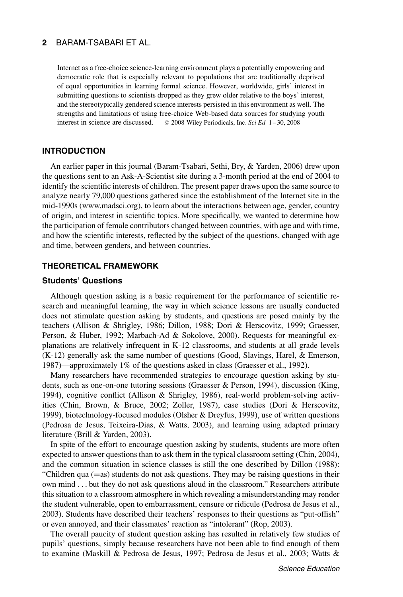Internet as a free-choice science-learning environment plays a potentially empowering and democratic role that is especially relevant to populations that are traditionally deprived of equal opportunities in learning formal science. However, worldwide, girls' interest in submitting questions to scientists dropped as they grew older relative to the boys' interest, and the stereotypically gendered science interests persisted in this environment as well. The strengths and limitations of using free-choice Web-based data sources for studying youth interest in science are discussed. <sup>C</sup> 2008 Wiley Periodicals, Inc. *Sci Ed* 1 – 30, 2008

#### **INTRODUCTION**

An earlier paper in this journal (Baram-Tsabari, Sethi, Bry, & Yarden, 2006) drew upon the questions sent to an Ask-A-Scientist site during a 3-month period at the end of 2004 to identify the scientific interests of children. The present paper draws upon the same source to analyze nearly 79,000 questions gathered since the establishment of the Internet site in the mid-1990s (www.madsci.org), to learn about the interactions between age, gender, country of origin, and interest in scientific topics. More specifically, we wanted to determine how the participation of female contributors changed between countries, with age and with time, and how the scientific interests, reflected by the subject of the questions, changed with age and time, between genders, and between countries.

# **THEORETICAL FRAMEWORK**

#### **Students' Questions**

Although question asking is a basic requirement for the performance of scientific research and meaningful learning, the way in which science lessons are usually conducted does not stimulate question asking by students, and questions are posed mainly by the teachers (Allison & Shrigley, 1986; Dillon, 1988; Dori & Herscovitz, 1999; Graesser, Person, & Huber, 1992; Marbach-Ad & Sokolove, 2000). Requests for meaningful explanations are relatively infrequent in K-12 classrooms, and students at all grade levels (K-12) generally ask the same number of questions (Good, Slavings, Harel, & Emerson, 1987)—approximately 1% of the questions asked in class (Graesser et al., 1992).

Many researchers have recommended strategies to encourage question asking by students, such as one-on-one tutoring sessions (Graesser & Person, 1994), discussion (King, 1994), cognitive conflict (Allison & Shrigley, 1986), real-world problem-solving activities (Chin, Brown, & Bruce, 2002; Zoller, 1987), case studies (Dori & Herscovitz, 1999), biotechnology-focused modules (Olsher  $&$  Dreyfus, 1999), use of written questions (Pedrosa de Jesus, Teixeira-Dias, & Watts, 2003), and learning using adapted primary literature (Brill & Yarden, 2003).

In spite of the effort to encourage question asking by students, students are more often expected to answer questions than to ask them in the typical classroom setting (Chin, 2004), and the common situation in science classes is still the one described by Dillon (1988): "Children qua  $(=a)$  students do not ask questions. They may be raising questions in their own mind . . . but they do not ask questions aloud in the classroom." Researchers attribute this situation to a classroom atmosphere in which revealing a misunderstanding may render the student vulnerable, open to embarrassment, censure or ridicule (Pedrosa de Jesus et al., 2003). Students have described their teachers' responses to their questions as "put-offish" or even annoyed, and their classmates' reaction as "intolerant" (Rop, 2003).

The overall paucity of student question asking has resulted in relatively few studies of pupils' questions, simply because researchers have not been able to find enough of them to examine (Maskill & Pedrosa de Jesus, 1997; Pedrosa de Jesus et al., 2003; Watts &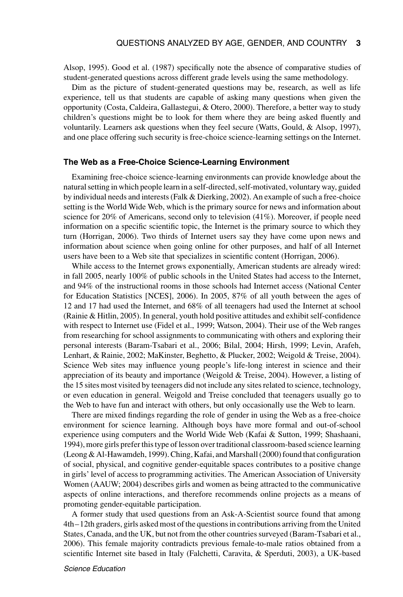Alsop, 1995). Good et al. (1987) specifically note the absence of comparative studies of student-generated questions across different grade levels using the same methodology.

Dim as the picture of student-generated questions may be, research, as well as life experience, tell us that students are capable of asking many questions when given the opportunity (Costa, Caldeira, Gallastegui, & Otero, 2000). Therefore, a better way to study children's questions might be to look for them where they are being asked fluently and voluntarily. Learners ask questions when they feel secure (Watts, Gould, & Alsop, 1997), and one place offering such security is free-choice science-learning settings on the Internet.

#### **The Web as a Free-Choice Science-Learning Environment**

Examining free-choice science-learning environments can provide knowledge about the natural setting in which people learn in a self-directed, self-motivated, voluntary way, guided by individual needs and interests (Falk & Dierking, 2002). An example of such a free-choice setting is the World Wide Web, which is the primary source for news and information about science for 20% of Americans, second only to television (41%). Moreover, if people need information on a specific scientific topic, the Internet is the primary source to which they turn (Horrigan, 2006). Two thirds of Internet users say they have come upon news and information about science when going online for other purposes, and half of all Internet users have been to a Web site that specializes in scientific content (Horrigan, 2006).

While access to the Internet grows exponentially, American students are already wired: in fall 2005, nearly 100% of public schools in the United States had access to the Internet, and 94% of the instructional rooms in those schools had Internet access (National Center for Education Statistics [NCES], 2006). In 2005, 87% of all youth between the ages of 12 and 17 had used the Internet, and 68% of all teenagers had used the Internet at school (Rainie & Hitlin, 2005). In general, youth hold positive attitudes and exhibit self-confidence with respect to Internet use (Fidel et al., 1999; Watson, 2004). Their use of the Web ranges from researching for school assignments to communicating with others and exploring their personal interests (Baram-Tsabari et al., 2006; Bilal, 2004; Hirsh, 1999; Levin, Arafeh, Lenhart, & Rainie, 2002; MaKinster, Beghetto, & Plucker, 2002; Weigold & Treise, 2004). Science Web sites may influence young people's life-long interest in science and their appreciation of its beauty and importance (Weigold  $&$  Treise, 2004). However, a listing of the 15 sites most visited by teenagers did not include any sites related to science, technology, or even education in general. Weigold and Treise concluded that teenagers usually go to the Web to have fun and interact with others, but only occasionally use the Web to learn.

There are mixed findings regarding the role of gender in using the Web as a free-choice environment for science learning. Although boys have more formal and out-of-school experience using computers and the World Wide Web (Kafai & Sutton, 1999; Shashaani, 1994), more girls prefer this type of lesson over traditional classroom-based science learning (Leong & Al-Hawamdeh, 1999). Ching, Kafai, and Marshall (2000) found that configuration of social, physical, and cognitive gender-equitable spaces contributes to a positive change in girls' level of access to programming activities. The American Association of University Women (AAUW; 2004) describes girls and women as being attracted to the communicative aspects of online interactions, and therefore recommends online projects as a means of promoting gender-equitable participation.

A former study that used questions from an Ask-A-Scientist source found that among 4th–12th graders, girls asked most of the questions in contributions arriving from the United States, Canada, and the UK, but not from the other countries surveyed (Baram-Tsabari et al., 2006). This female majority contradicts previous female-to-male ratios obtained from a scientific Internet site based in Italy (Falchetti, Caravita, & Sperduti, 2003), a UK-based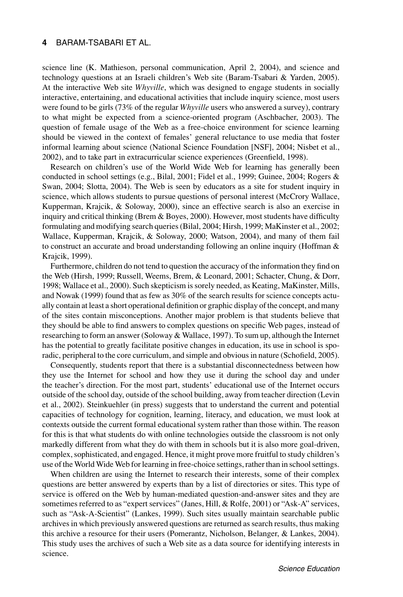science line (K. Mathieson, personal communication, April 2, 2004), and science and technology questions at an Israeli children's Web site (Baram-Tsabari & Yarden, 2005). At the interactive Web site *Whyville*, which was designed to engage students in socially interactive, entertaining, and educational activities that include inquiry science, most users were found to be girls (73% of the regular *Whyville* users who answered a survey), contrary to what might be expected from a science-oriented program (Aschbacher, 2003). The question of female usage of the Web as a free-choice environment for science learning should be viewed in the context of females' general reluctance to use media that foster informal learning about science (National Science Foundation [NSF], 2004; Nisbet et al., 2002), and to take part in extracurricular science experiences (Greenfield, 1998).

Research on children's use of the World Wide Web for learning has generally been conducted in school settings (e.g., Bilal, 2001; Fidel et al., 1999; Guinee, 2004; Rogers & Swan, 2004; Slotta, 2004). The Web is seen by educators as a site for student inquiry in science, which allows students to pursue questions of personal interest (McCrory Wallace, Kupperman, Krajcik, & Soloway, 2000), since an effective search is also an exercise in inquiry and critical thinking (Brem & Boyes, 2000). However, most students have difficulty formulating and modifying search queries (Bilal, 2004; Hirsh, 1999; MaKinster et al., 2002; Wallace, Kupperman, Krajcik, & Soloway, 2000; Watson, 2004), and many of them fail to construct an accurate and broad understanding following an online inquiry (Hoffman & Krajcik, 1999).

Furthermore, children do not tend to question the accuracy of the information they find on the Web (Hirsh, 1999; Russell, Weems, Brem, & Leonard, 2001; Schacter, Chung, & Dorr, 1998; Wallace et al., 2000). Such skepticism is sorely needed, as Keating, MaKinster, Mills, and Nowak (1999) found that as few as 30% of the search results for science concepts actually contain at least a short operational definition or graphic display of the concept, and many of the sites contain misconceptions. Another major problem is that students believe that they should be able to find answers to complex questions on specific Web pages, instead of researching to form an answer (Soloway & Wallace, 1997). To sum up, although the Internet has the potential to greatly facilitate positive changes in education, its use in school is sporadic, peripheral to the core curriculum, and simple and obvious in nature (Schofield, 2005).

Consequently, students report that there is a substantial disconnectedness between how they use the Internet for school and how they use it during the school day and under the teacher's direction. For the most part, students' educational use of the Internet occurs outside of the school day, outside of the school building, away from teacher direction (Levin et al., 2002). Steinkuehler (in press) suggests that to understand the current and potential capacities of technology for cognition, learning, literacy, and education, we must look at contexts outside the current formal educational system rather than those within. The reason for this is that what students do with online technologies outside the classroom is not only markedly different from what they do with them in schools but it is also more goal-driven, complex, sophisticated, and engaged. Hence, it might prove more fruitful to study children's use of the World Wide Web for learning in free-choice settings, rather than in school settings.

When children are using the Internet to research their interests, some of their complex questions are better answered by experts than by a list of directories or sites. This type of service is offered on the Web by human-mediated question-and-answer sites and they are sometimes referred to as "expert services" (Janes, Hill, & Rolfe, 2001) or "Ask-A" services, such as "Ask-A-Scientist" (Lankes, 1999). Such sites usually maintain searchable public archives in which previously answered questions are returned as search results, thus making this archive a resource for their users (Pomerantz, Nicholson, Belanger, & Lankes, 2004). This study uses the archives of such a Web site as a data source for identifying interests in science.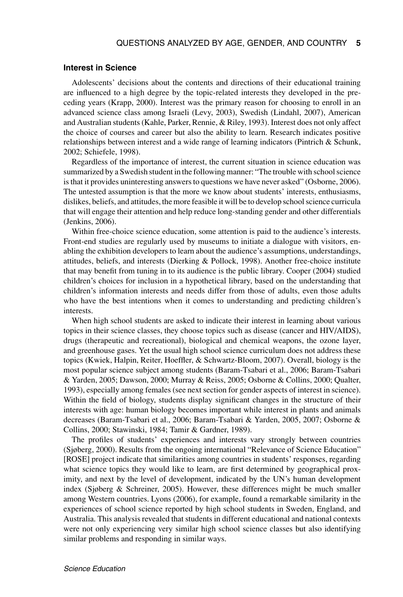#### **Interest in Science**

Adolescents' decisions about the contents and directions of their educational training are influenced to a high degree by the topic-related interests they developed in the preceding years (Krapp, 2000). Interest was the primary reason for choosing to enroll in an advanced science class among Israeli (Levy, 2003), Swedish (Lindahl, 2007), American and Australian students (Kahle, Parker, Rennie, & Riley, 1993). Interest does not only affect the choice of courses and career but also the ability to learn. Research indicates positive relationships between interest and a wide range of learning indicators (Pintrich & Schunk, 2002; Schiefele, 1998).

Regardless of the importance of interest, the current situation in science education was summarized by a Swedish student in the following manner: "The trouble with school science is that it provides uninteresting answers to questions we have never asked" (Osborne, 2006). The untested assumption is that the more we know about students' interests, enthusiasms, dislikes, beliefs, and attitudes, the more feasible it will be to develop school science curricula that will engage their attention and help reduce long-standing gender and other differentials (Jenkins, 2006).

Within free-choice science education, some attention is paid to the audience's interests. Front-end studies are regularly used by museums to initiate a dialogue with visitors, enabling the exhibition developers to learn about the audience's assumptions, understandings, attitudes, beliefs, and interests (Dierking & Pollock, 1998). Another free-choice institute that may benefit from tuning in to its audience is the public library. Cooper (2004) studied children's choices for inclusion in a hypothetical library, based on the understanding that children's information interests and needs differ from those of adults, even those adults who have the best intentions when it comes to understanding and predicting children's interests.

When high school students are asked to indicate their interest in learning about various topics in their science classes, they choose topics such as disease (cancer and HIV/AIDS), drugs (therapeutic and recreational), biological and chemical weapons, the ozone layer, and greenhouse gases. Yet the usual high school science curriculum does not address these topics (Kwiek, Halpin, Reiter, Hoeffler, & Schwartz-Bloom, 2007). Overall, biology is the most popular science subject among students (Baram-Tsabari et al., 2006; Baram-Tsabari & Yarden, 2005; Dawson, 2000; Murray & Reiss, 2005; Osborne & Collins, 2000; Qualter, 1993), especially among females (see next section for gender aspects of interest in science). Within the field of biology, students display significant changes in the structure of their interests with age: human biology becomes important while interest in plants and animals decreases (Baram-Tsabari et al., 2006; Baram-Tsabari & Yarden, 2005, 2007; Osborne & Collins, 2000; Stawinski, 1984; Tamir & Gardner, 1989).

The profiles of students' experiences and interests vary strongly between countries (Sjøberg, 2000). Results from the ongoing international "Relevance of Science Education" [ROSE] project indicate that similarities among countries in students' responses, regarding what science topics they would like to learn, are first determined by geographical proximity, and next by the level of development, indicated by the UN's human development index (Sjøberg & Schreiner, 2005). However, these differences might be much smaller among Western countries. Lyons (2006), for example, found a remarkable similarity in the experiences of school science reported by high school students in Sweden, England, and Australia. This analysis revealed that students in different educational and national contexts were not only experiencing very similar high school science classes but also identifying similar problems and responding in similar ways.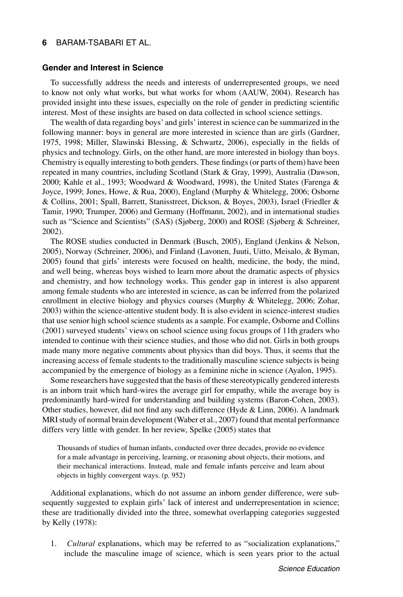#### **Gender and Interest in Science**

To successfully address the needs and interests of underrepresented groups, we need to know not only what works, but what works for whom (AAUW, 2004). Research has provided insight into these issues, especially on the role of gender in predicting scientific interest. Most of these insights are based on data collected in school science settings.

The wealth of data regarding boys' and girls' interest in science can be summarized in the following manner: boys in general are more interested in science than are girls (Gardner, 1975, 1998; Miller, Slawinski Blessing, & Schwartz, 2006), especially in the fields of physics and technology. Girls, on the other hand, are more interested in biology than boys. Chemistry is equally interesting to both genders. These findings (or parts of them) have been repeated in many countries, including Scotland (Stark & Gray, 1999), Australia (Dawson, 2000; Kahle et al., 1993; Woodward & Woodward, 1998), the United States (Farenga & Joyce, 1999; Jones, Howe, & Rua, 2000), England (Murphy & Whitelegg, 2006; Osborne & Collins, 2001; Spall, Barrett, Stanisstreet, Dickson, & Boyes, 2003), Israel (Friedler & Tamir, 1990; Trumper, 2006) and Germany (Hoffmann, 2002), and in international studies such as "Science and Scientists" (SAS) (Sjøberg, 2000) and ROSE (Sjøberg & Schreiner, 2002).

The ROSE studies conducted in Denmark (Busch, 2005), England (Jenkins & Nelson, 2005), Norway (Schreiner, 2006), and Finland (Lavonen, Juuti, Uitto, Meisalo, & Byman, 2005) found that girls' interests were focused on health, medicine, the body, the mind, and well being, whereas boys wished to learn more about the dramatic aspects of physics and chemistry, and how technology works. This gender gap in interest is also apparent among female students who are interested in science, as can be inferred from the polarized enrollment in elective biology and physics courses (Murphy & Whitelegg, 2006; Zohar, 2003) within the science-attentive student body. It is also evident in science-interest studies that use senior high school science students as a sample. For example, Osborne and Collins (2001) surveyed students' views on school science using focus groups of 11th graders who intended to continue with their science studies, and those who did not. Girls in both groups made many more negative comments about physics than did boys. Thus, it seems that the increasing access of female students to the traditionally masculine science subjects is being accompanied by the emergence of biology as a feminine niche in science (Ayalon, 1995).

Some researchers have suggested that the basis of these stereotypically gendered interests is an inborn trait which hard-wires the average girl for empathy, while the average boy is predominantly hard-wired for understanding and building systems (Baron-Cohen, 2003). Other studies, however, did not find any such difference (Hyde & Linn, 2006). A landmark MRI study of normal brain development (Waber et al., 2007) found that mental performance differs very little with gender. In her review, Spelke (2005) states that

Thousands of studies of human infants, conducted over three decades, provide no evidence for a male advantage in perceiving, learning, or reasoning about objects, their motions, and their mechanical interactions. Instead, male and female infants perceive and learn about objects in highly convergent ways. (p. 952)

Additional explanations, which do not assume an inborn gender difference, were subsequently suggested to explain girls' lack of interest and underrepresentation in science; these are traditionally divided into the three, somewhat overlapping categories suggested by Kelly (1978):

1. *Cultural* explanations, which may be referred to as "socialization explanations," include the masculine image of science, which is seen years prior to the actual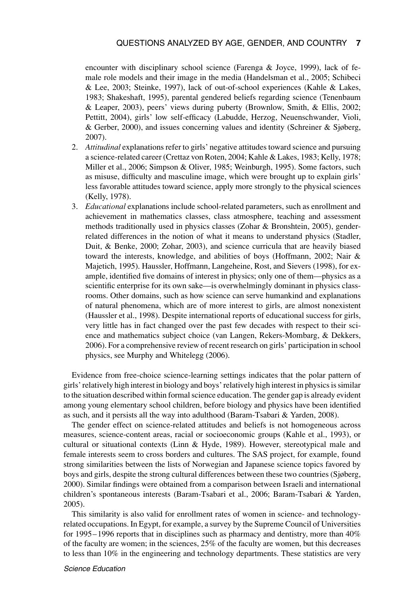encounter with disciplinary school science (Farenga  $&$  Joyce, 1999), lack of female role models and their image in the media (Handelsman et al., 2005; Schibeci & Lee, 2003; Steinke, 1997), lack of out-of-school experiences (Kahle & Lakes, 1983; Shakeshaft, 1995), parental gendered beliefs regarding science (Tenenbaum & Leaper, 2003), peers' views during puberty (Brownlow, Smith, & Ellis, 2002; Pettitt, 2004), girls' low self-efficacy (Labudde, Herzog, Neuenschwander, Violi, & Gerber, 2000), and issues concerning values and identity (Schreiner & Sjøberg, 2007).

- 2. *Attitudinal* explanations refer to girls' negative attitudes toward science and pursuing a science-related career (Crettaz von Roten, 2004; Kahle & Lakes, 1983; Kelly, 1978; Miller et al., 2006; Simpson & Oliver, 1985; Weinburgh, 1995). Some factors, such as misuse, difficulty and masculine image, which were brought up to explain girls' less favorable attitudes toward science, apply more strongly to the physical sciences (Kelly, 1978).
- 3. *Educational* explanations include school-related parameters, such as enrollment and achievement in mathematics classes, class atmosphere, teaching and assessment methods traditionally used in physics classes (Zohar & Bronshtein, 2005), genderrelated differences in the notion of what it means to understand physics (Stadler, Duit, & Benke, 2000; Zohar, 2003), and science curricula that are heavily biased toward the interests, knowledge, and abilities of boys (Hoffmann, 2002; Nair & Majetich, 1995). Haussler, Hoffmann, Langeheine, Rost, and Sievers (1998), for example, identified five domains of interest in physics; only one of them—physics as a scientific enterprise for its own sake—is overwhelmingly dominant in physics classrooms. Other domains, such as how science can serve humankind and explanations of natural phenomena, which are of more interest to girls, are almost nonexistent (Haussler et al., 1998). Despite international reports of educational success for girls, very little has in fact changed over the past few decades with respect to their science and mathematics subject choice (van Langen, Rekers-Mombarg, & Dekkers, 2006). For a comprehensive review of recent research on girls' participation in school physics, see Murphy and Whitelegg (2006).

Evidence from free-choice science-learning settings indicates that the polar pattern of girls' relatively high interest in biology and boys' relatively high interest in physics is similar to the situation described within formal science education. The gender gap is already evident among young elementary school children, before biology and physics have been identified as such, and it persists all the way into adulthood (Baram-Tsabari & Yarden, 2008).

The gender effect on science-related attitudes and beliefs is not homogeneous across measures, science-content areas, racial or socioeconomic groups (Kahle et al., 1993), or cultural or situational contexts (Linn & Hyde, 1989). However, stereotypical male and female interests seem to cross borders and cultures. The SAS project, for example, found strong similarities between the lists of Norwegian and Japanese science topics favored by boys and girls, despite the strong cultural differences between these two countries (Sjøberg, 2000). Similar findings were obtained from a comparison between Israeli and international children's spontaneous interests (Baram-Tsabari et al., 2006; Baram-Tsabari & Yarden, 2005).

This similarity is also valid for enrollment rates of women in science- and technologyrelated occupations. In Egypt, for example, a survey by the Supreme Council of Universities for 1995–1996 reports that in disciplines such as pharmacy and dentistry, more than 40% of the faculty are women; in the sciences, 25% of the faculty are women, but this decreases to less than 10% in the engineering and technology departments. These statistics are very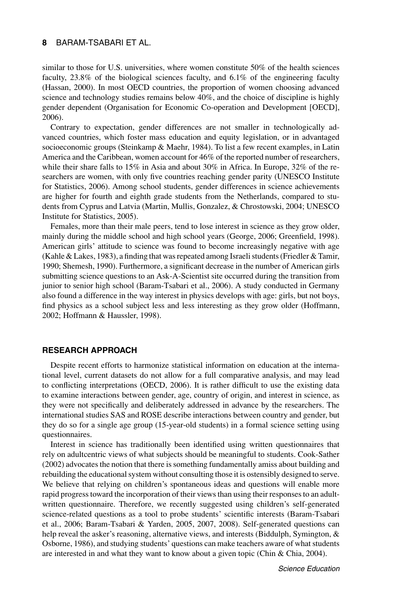similar to those for U.S. universities, where women constitute 50% of the health sciences faculty, 23.8% of the biological sciences faculty, and 6.1% of the engineering faculty (Hassan, 2000). In most OECD countries, the proportion of women choosing advanced science and technology studies remains below 40%, and the choice of discipline is highly gender dependent (Organisation for Economic Co-operation and Development [OECD], 2006).

Contrary to expectation, gender differences are not smaller in technologically advanced countries, which foster mass education and equity legislation, or in advantaged socioeconomic groups (Steinkamp & Maehr, 1984). To list a few recent examples, in Latin America and the Caribbean, women account for 46% of the reported number of researchers, while their share falls to 15% in Asia and about 30% in Africa. In Europe, 32% of the researchers are women, with only five countries reaching gender parity (UNESCO Institute for Statistics, 2006). Among school students, gender differences in science achievements are higher for fourth and eighth grade students from the Netherlands, compared to students from Cyprus and Latvia (Martin, Mullis, Gonzalez, & Chrostowski, 2004; UNESCO Institute for Statistics, 2005).

Females, more than their male peers, tend to lose interest in science as they grow older, mainly during the middle school and high school years (George, 2006; Greenfield, 1998). American girls' attitude to science was found to become increasingly negative with age (Kahle & Lakes, 1983), a finding that was repeated among Israeli students (Friedler & Tamir, 1990; Shemesh, 1990). Furthermore, a significant decrease in the number of American girls submitting science questions to an Ask-A-Scientist site occurred during the transition from junior to senior high school (Baram-Tsabari et al., 2006). A study conducted in Germany also found a difference in the way interest in physics develops with age: girls, but not boys, find physics as a school subject less and less interesting as they grow older (Hoffmann, 2002; Hoffmann & Haussler, 1998).

# **RESEARCH APPROACH**

Despite recent efforts to harmonize statistical information on education at the international level, current datasets do not allow for a full comparative analysis, and may lead to conflicting interpretations (OECD, 2006). It is rather difficult to use the existing data to examine interactions between gender, age, country of origin, and interest in science, as they were not specifically and deliberately addressed in advance by the researchers. The international studies SAS and ROSE describe interactions between country and gender, but they do so for a single age group (15-year-old students) in a formal science setting using questionnaires.

Interest in science has traditionally been identified using written questionnaires that rely on adultcentric views of what subjects should be meaningful to students. Cook-Sather (2002) advocates the notion that there is something fundamentally amiss about building and rebuilding the educational system without consulting those it is ostensibly designed to serve. We believe that relying on children's spontaneous ideas and questions will enable more rapid progress toward the incorporation of their views than using their responses to an adultwritten questionnaire. Therefore, we recently suggested using children's self-generated science-related questions as a tool to probe students' scientific interests (Baram-Tsabari et al., 2006; Baram-Tsabari & Yarden, 2005, 2007, 2008). Self-generated questions can help reveal the asker's reasoning, alternative views, and interests (Biddulph, Symington, & Osborne, 1986), and studying students' questions can make teachers aware of what students are interested in and what they want to know about a given topic (Chin  $\&$  Chia, 2004).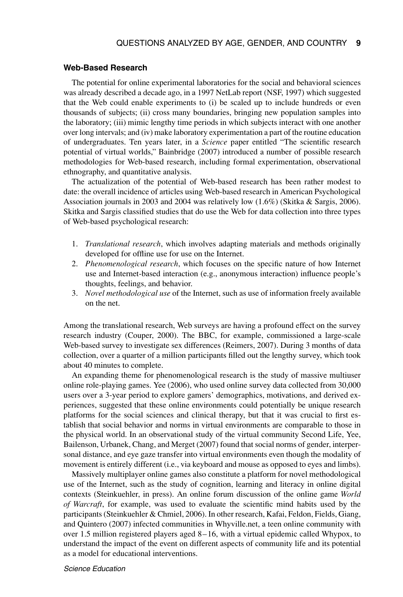#### **Web-Based Research**

The potential for online experimental laboratories for the social and behavioral sciences was already described a decade ago, in a 1997 NetLab report (NSF, 1997) which suggested that the Web could enable experiments to (i) be scaled up to include hundreds or even thousands of subjects; (ii) cross many boundaries, bringing new population samples into the laboratory; (iii) mimic lengthy time periods in which subjects interact with one another over long intervals; and (iv) make laboratory experimentation a part of the routine education of undergraduates. Ten years later, in a *Science* paper entitled "The scientific research potential of virtual worlds," Bainbridge (2007) introduced a number of possible research methodologies for Web-based research, including formal experimentation, observational ethnography, and quantitative analysis.

The actualization of the potential of Web-based research has been rather modest to date: the overall incidence of articles using Web-based research in American Psychological Association journals in 2003 and 2004 was relatively low (1.6%) (Skitka & Sargis, 2006). Skitka and Sargis classified studies that do use the Web for data collection into three types of Web-based psychological research:

- 1. *Translational research*, which involves adapting materials and methods originally developed for offline use for use on the Internet.
- 2. *Phenomenological research*, which focuses on the specific nature of how Internet use and Internet-based interaction (e.g., anonymous interaction) influence people's thoughts, feelings, and behavior.
- 3. *Novel methodological use* of the Internet, such as use of information freely available on the net.

Among the translational research, Web surveys are having a profound effect on the survey research industry (Couper, 2000). The BBC, for example, commissioned a large-scale Web-based survey to investigate sex differences (Reimers, 2007). During 3 months of data collection, over a quarter of a million participants filled out the lengthy survey, which took about 40 minutes to complete.

An expanding theme for phenomenological research is the study of massive multiuser online role-playing games. Yee (2006), who used online survey data collected from 30,000 users over a 3-year period to explore gamers' demographics, motivations, and derived experiences, suggested that these online environments could potentially be unique research platforms for the social sciences and clinical therapy, but that it was crucial to first establish that social behavior and norms in virtual environments are comparable to those in the physical world. In an observational study of the virtual community Second Life, Yee, Bailenson, Urbanek, Chang, and Merget (2007) found that social norms of gender, interpersonal distance, and eye gaze transfer into virtual environments even though the modality of movement is entirely different (i.e., via keyboard and mouse as opposed to eyes and limbs).

Massively multiplayer online games also constitute a platform for novel methodological use of the Internet, such as the study of cognition, learning and literacy in online digital contexts (Steinkuehler, in press). An online forum discussion of the online game *World of Warcraft*, for example, was used to evaluate the scientific mind habits used by the participants (Steinkuehler & Chmiel, 2006). In other research, Kafai, Feldon, Fields, Giang, and Quintero (2007) infected communities in Whyville.net, a teen online community with over 1.5 million registered players aged 8–16, with a virtual epidemic called Whypox, to understand the impact of the event on different aspects of community life and its potential as a model for educational interventions.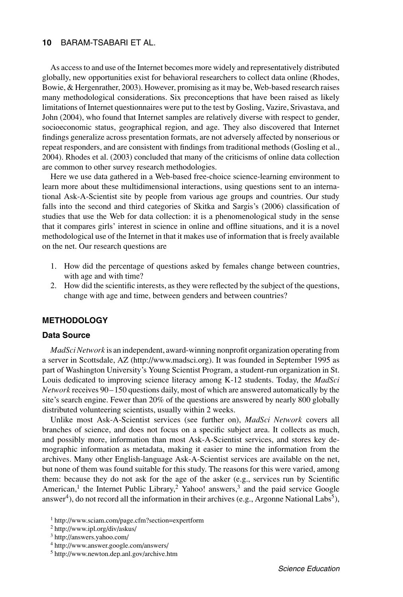As access to and use of the Internet becomes more widely and representatively distributed globally, new opportunities exist for behavioral researchers to collect data online (Rhodes, Bowie, & Hergenrather, 2003). However, promising as it may be, Web-based research raises many methodological considerations. Six preconceptions that have been raised as likely limitations of Internet questionnaires were put to the test by Gosling, Vazire, Srivastava, and John (2004), who found that Internet samples are relatively diverse with respect to gender, socioeconomic status, geographical region, and age. They also discovered that Internet findings generalize across presentation formats, are not adversely affected by nonserious or repeat responders, and are consistent with findings from traditional methods (Gosling et al., 2004). Rhodes et al. (2003) concluded that many of the criticisms of online data collection are common to other survey research methodologies.

Here we use data gathered in a Web-based free-choice science-learning environment to learn more about these multidimensional interactions, using questions sent to an international Ask-A-Scientist site by people from various age groups and countries. Our study falls into the second and third categories of Skitka and Sargis's (2006) classification of studies that use the Web for data collection: it is a phenomenological study in the sense that it compares girls' interest in science in online and offline situations, and it is a novel methodological use of the Internet in that it makes use of information that is freely available on the net. Our research questions are

- 1. How did the percentage of questions asked by females change between countries, with age and with time?
- 2. How did the scientific interests, as they were reflected by the subject of the questions, change with age and time, between genders and between countries?

# **METHODOLOGY**

#### **Data Source**

*MadSci Network* is an independent, award-winning nonprofit organization operating from a server in Scottsdale, AZ (http://www.madsci.org). It was founded in September 1995 as part of Washington University's Young Scientist Program, a student-run organization in St. Louis dedicated to improving science literacy among K-12 students. Today, the *MadSci Network* receives 90–150 questions daily, most of which are answered automatically by the site's search engine. Fewer than 20% of the questions are answered by nearly 800 globally distributed volunteering scientists, usually within 2 weeks.

Unlike most Ask-A-Scientist services (see further on), *MadSci Network* covers all branches of science, and does not focus on a specific subject area. It collects as much, and possibly more, information than most Ask-A-Scientist services, and stores key demographic information as metadata, making it easier to mine the information from the archives. Many other English-language Ask-A-Scientist services are available on the net, but none of them was found suitable for this study. The reasons for this were varied, among them: because they do not ask for the age of the asker (e.g., services run by Scientific American,<sup>1</sup> the Internet Public Library,<sup>2</sup> Yahoo! answers,<sup>3</sup> and the paid service Google answer<sup>4</sup>), do not record all the information in their archives (e.g., Argonne National Labs<sup>5</sup>),

<sup>1</sup> http://www.sciam.com/page.cfm?section=expertform

<sup>2</sup> http://www.ipl.org/div/askus/

<sup>3</sup> http://answers.yahoo.com/

<sup>4</sup> http://www.answer.google.com/answers/

<sup>5</sup> http://www.newton.dep.anl.gov/archive.htm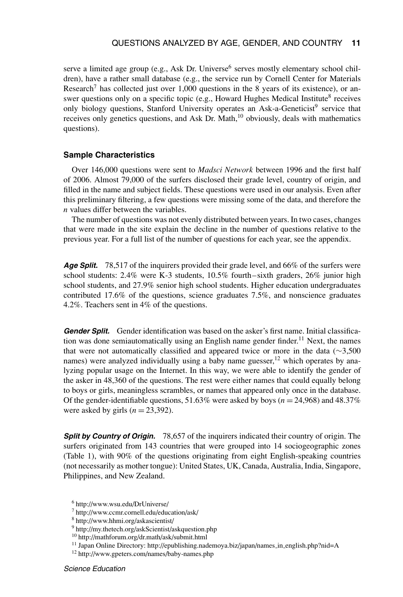serve a limited age group (e.g., Ask Dr. Universe <sup>6</sup> serves mostly elementary school children), have a rather small database (e.g., the service run by Cornell Center for Materials Research<sup>7</sup> has collected just over  $1,000$  questions in the 8 years of its existence), or answer questions only on a specific topic (e.g., Howard Hughes Medical Institute<sup>8</sup> receives only biology questions, Stanford University operates an Ask-a-Geneticist<sup>9</sup> service that receives only genetics questions, and Ask Dr. Math, $10$  obviously, deals with mathematics questions).

#### **Sample Characteristics**

Over 146,000 questions were sent to *Madsci Network* between 1996 and the first half of 2006. Almost 79,000 of the surfers disclosed their grade level, country of origin, and filled in the name and subject fields. These questions were used in our analysis. Even after this preliminary filtering, a few questions were missing some of the data, and therefore the *n* values differ between the variables.

The number of questions was not evenly distributed between years. In two cases, changes that were made in the site explain the decline in the number of questions relative to the previous year. For a full list of the number of questions for each year, see the appendix.

**Age Split.** 78,517 of the inquirers provided their grade level, and 66% of the surfers were school students: 2.4% were K-3 students, 10.5% fourth–sixth graders, 26% junior high school students, and 27.9% senior high school students. Higher education undergraduates contributed 17.6% of the questions, science graduates 7.5%, and nonscience graduates 4.2%. Teachers sent in 4% of the questions.

**Gender Split.** Gender identification was based on the asker's first name. Initial classification was done semiautomatically using an English name gender finder.<sup>11</sup> Next, the names that were not automatically classified and appeared twice or more in the data (∼3,500 names) were analyzed individually using a baby name guesser,<sup>12</sup> which operates by analyzing popular usage on the Internet. In this way, we were able to identify the gender of the asker in 48,360 of the questions. The rest were either names that could equally belong to boys or girls, meaningless scrambles, or names that appeared only once in the database. Of the gender-identifiable questions, 51.63% were asked by boys ( $n = 24,968$ ) and 48.37% were asked by girls  $(n = 23,392)$ .

**Split by Country of Origin.** 78,657 of the inquirers indicated their country of origin. The surfers originated from 143 countries that were grouped into 14 sociogeographic zones (Table 1), with 90% of the questions originating from eight English-speaking countries (not necessarily as mother tongue): United States, UK, Canada, Australia, India, Singapore, Philippines, and New Zealand.

<sup>6</sup> http://www.wsu.edu/DrUniverse/

<sup>7</sup> http://www.ccmr.cornell.edu/education/ask/

<sup>8</sup> http://www.hhmi.org/askascientist/

<sup>9</sup> http://my.thetech.org/askScientist/askquestion.php

<sup>10</sup> http://mathforum.org/dr.math/ask/submit.html

<sup>&</sup>lt;sup>11</sup> Japan Online Directory: http://epublishing.nademoya.biz/japan/names\_in\_english.php?nid=A

<sup>12</sup> http://www.gpeters.com/names/baby-names.php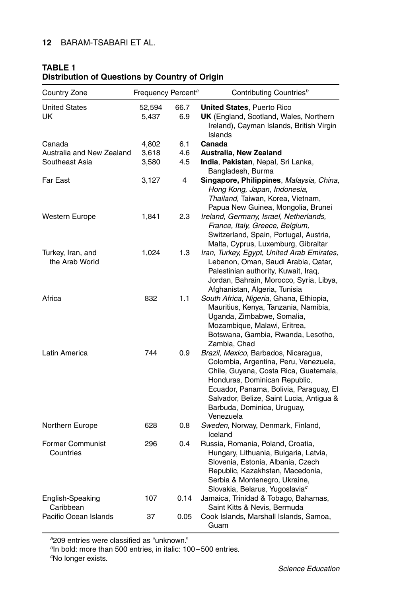| Country Zone                         | Frequency Percent <sup>a</sup> |             | Contributing Countries <sup>b</sup>                                                                                                                                                                                                                                                       |
|--------------------------------------|--------------------------------|-------------|-------------------------------------------------------------------------------------------------------------------------------------------------------------------------------------------------------------------------------------------------------------------------------------------|
| <b>United States</b><br>UK           | 52,594<br>5,437                | 66.7<br>6.9 | <b>United States, Puerto Rico</b><br>UK (England, Scotland, Wales, Northern<br>Ireland), Cayman Islands, British Virgin<br>Islands                                                                                                                                                        |
| Canada                               | 4,802                          | 6.1         | Canada                                                                                                                                                                                                                                                                                    |
| Australia and New Zealand            | 3,618                          | 4.6         | Australia, New Zealand                                                                                                                                                                                                                                                                    |
| Southeast Asia                       | 3,580                          | 4.5         | India, Pakistan, Nepal, Sri Lanka,<br>Bangladesh, Burma                                                                                                                                                                                                                                   |
| Far East                             | 3,127                          | 4           | Singapore, Philippines, Malaysia, China,<br>Hong Kong, Japan, Indonesia,<br>Thailand, Taiwan, Korea, Vietnam,<br>Papua New Guinea, Mongolia, Brunei                                                                                                                                       |
| Western Europe                       | 1,841                          | 2.3         | Ireland, Germany, Israel, Netherlands,<br>France, Italy, Greece, Belgium,<br>Switzerland, Spain, Portugal, Austria,<br>Malta, Cyprus, Luxemburg, Gibraltar                                                                                                                                |
| Turkey, Iran, and<br>the Arab World  | 1,024                          | 1.3         | Iran, Turkey, Egypt, United Arab Emirates,<br>Lebanon, Oman, Saudi Arabia, Qatar,<br>Palestinian authority, Kuwait, Iraq,<br>Jordan, Bahrain, Morocco, Syria, Libya,<br>Afghanistan, Algeria, Tunisia                                                                                     |
| Africa                               | 832                            | 1.1         | South Africa, Nigeria, Ghana, Ethiopia,<br>Mauritius, Kenya, Tanzania, Namibia,<br>Uganda, Zimbabwe, Somalia,<br>Mozambique, Malawi, Eritrea,<br>Botswana, Gambia, Rwanda, Lesotho,<br>Zambia, Chad                                                                                       |
| Latin America                        | 744                            | 0.9         | Brazil, Mexico, Barbados, Nicaragua,<br>Colombia, Argentina, Peru, Venezuela,<br>Chile, Guyana, Costa Rica, Guatemala,<br>Honduras, Dominican Republic,<br>Ecuador, Panama, Bolivia, Paraguay, El<br>Salvador, Belize, Saint Lucia, Antigua &<br>Barbuda, Dominica, Uruguay,<br>Venezuela |
| Northern Europe                      | 628                            | 0.8         | Sweden, Norway, Denmark, Finland,<br>Iceland                                                                                                                                                                                                                                              |
| <b>Former Communist</b><br>Countries | 296                            | 0.4         | Russia, Romania, Poland, Croatia,<br>Hungary, Lithuania, Bulgaria, Latvia,<br>Slovenia, Estonia, Albania, Czech<br>Republic, Kazakhstan, Macedonia,<br>Serbia & Montenegro, Ukraine,<br>Slovakia, Belarus, Yugoslavia <sup>c</sup>                                                        |
| English-Speaking<br>Caribbean        | 107                            | 0.14        | Jamaica, Trinidad & Tobago, Bahamas,<br>Saint Kitts & Nevis, Bermuda                                                                                                                                                                                                                      |
| Pacific Ocean Islands                | 37                             | 0.05        | Cook Islands, Marshall Islands, Samoa,<br>Guam                                                                                                                                                                                                                                            |

# **TABLE 1 Distribution of Questions by Country of Origin**

<sup>a</sup> 209 entries were classified as "unknown."

 $b$ In bold: more than 500 entries, in italic: 100-500 entries. <sup>c</sup>No longer exists.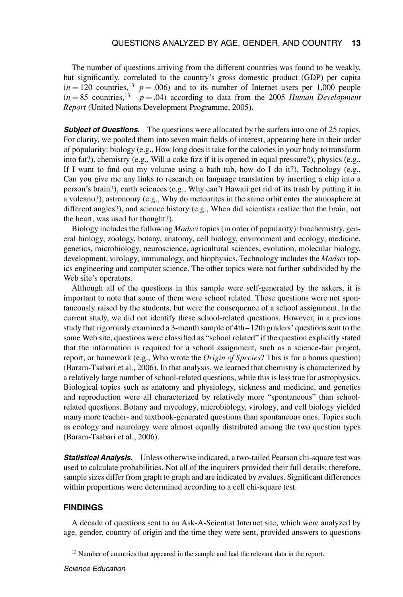The number of questions arriving from the different countries was found to be weakly, but significantly, correlated to the country's gross domestic product (GDP) per capita  $(n=120 \text{ countries},^{13} \text{ p} = .006)$  and to its number of Internet users per 1,000 people  $(n = 85$  countries,<sup>13</sup>  $p = .04$ ) according to data from the 2005 *Human Development Report* (United Nations Development Programme, 2005).

**Subject of Questions.** The questions were allocated by the surfers into one of 25 topics. For clarity, we pooled them into seven main fields of interest, appearing here in their order of popularity: biology (e.g., How long does it take for the calories in your body to transform into fat?), chemistry (e.g., Will a coke fizz if it is opened in equal pressure?), physics (e.g., If I want to find out my volume using a bath tub, how do I do it?), Technology (e.g., Can you give me any links to research on language translation by inserting a chip into a person's brain?), earth sciences (e.g., Why can't Hawaii get rid of its trash by putting it in a volcano?), astronomy (e.g., Why do meteorites in the same orbit enter the atmosphere at different angles?), and science history (e.g., When did scientists realize that the brain, not the heart, was used for thought?).

Biology includes the following *Madsci* topics (in order of popularity): biochemistry, general biology, zoology, botany, anatomy, cell biology, environment and ecology, medicine, genetics, microbiology, neuroscience, agricultural sciences, evolution, molecular biology, development, virology, immunology, and biophysics. Technology includes the *Madsci* topics engineering and computer science. The other topics were not further subdivided by the Web site's operators.

Although all of the questions in this sample were self-generated by the askers, it is important to note that some of them were school related. These questions were not spontaneously raised by the students, but were the consequence of a school assignment. In the current study, we did not identify these school-related questions. However, in a previous study that rigorously examined a 3-month sample of 4th–12th graders' questions sent to the same Web site, questions were classified as "school related" if the question explicitly stated that the information is required for a school assignment, such as a science-fair project, report, or homework (e.g., Who wrote the *Origin of Species*? This is for a bonus question) (Baram-Tsabari et al., 2006). In that analysis, we learned that chemistry is characterized by a relatively large number of school-related questions, while this is less true for astrophysics. Biological topics such as anatomy and physiology, sickness and medicine, and genetics and reproduction were all characterized by relatively more "spontaneous" than schoolrelated questions. Botany and mycology, microbiology, virology, and cell biology yielded many more teacher- and textbook-generated questions than spontaneous ones. Topics such as ecology and neurology were almost equally distributed among the two question types (Baram-Tsabari et al., 2006).

**Statistical Analysis.** Unless otherwise indicated, a two-tailed Pearson chi-square test was used to calculate probabilities. Not all of the inquirers provided their full details; therefore, sample sizes differ from graph to graph and are indicated by *n*values. Significant differences within proportions were determined according to a cell chi-square test.

#### **FINDINGS**

A decade of questions sent to an Ask-A-Scientist Internet site, which were analyzed by age, gender, country of origin and the time they were sent, provided answers to questions

<sup>&</sup>lt;sup>13</sup> Number of countries that appeared in the sample and had the relevant data in the report.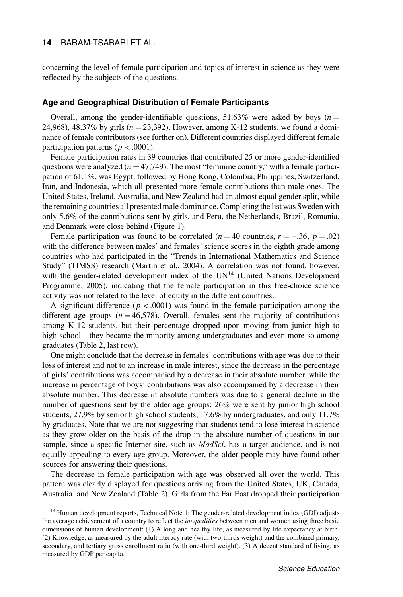concerning the level of female participation and topics of interest in science as they were reflected by the subjects of the questions.

### **Age and Geographical Distribution of Female Participants**

Overall, among the gender-identifiable questions,  $51.63\%$  were asked by boys ( $n =$ 24,968), 48.37% by girls (*n* = 23,392). However, among K-12 students, we found a dominance of female contributors (see further on). Different countries displayed different female participation patterns (*p <* .0001).

Female participation rates in 39 countries that contributed 25 or more gender-identified questions were analyzed  $(n = 47,749)$ . The most "feminine country," with a female participation of 61.1%, was Egypt, followed by Hong Kong, Colombia, Philippines, Switzerland, Iran, and Indonesia, which all presented more female contributions than male ones. The United States, Ireland, Australia, and New Zealand had an almost equal gender split, while the remaining countries all presented male dominance. Completing the list was Sweden with only 5.6% of the contributions sent by girls, and Peru, the Netherlands, Brazil, Romania, and Denmark were close behind (Figure 1).

Female participation was found to be correlated  $(n = 40 \text{ countries}, r = -.36, p = .02)$ with the difference between males' and females' science scores in the eighth grade among countries who had participated in the "Trends in International Mathematics and Science Study" (TIMSS) research (Martin et al., 2004). A correlation was not found, however, with the gender-related development index of the  $UN<sup>14</sup>$  (United Nations Development Programme, 2005), indicating that the female participation in this free-choice science activity was not related to the level of equity in the different countries.

A significant difference (*p <* .0001) was found in the female participation among the different age groups  $(n = 46,578)$ . Overall, females sent the majority of contributions among K-12 students, but their percentage dropped upon moving from junior high to high school—they became the minority among undergraduates and even more so among graduates (Table 2, last row).

One might conclude that the decrease in females' contributions with age was due to their loss of interest and not to an increase in male interest, since the decrease in the percentage of girls' contributions was accompanied by a decrease in their absolute number, while the increase in percentage of boys' contributions was also accompanied by a decrease in their absolute number. This decrease in absolute numbers was due to a general decline in the number of questions sent by the older age groups: 26% were sent by junior high school students, 27.9% by senior high school students, 17.6% by undergraduates, and only 11.7% by graduates. Note that we are not suggesting that students tend to lose interest in science as they grow older on the basis of the drop in the absolute number of questions in our sample, since a specific Internet site, such as *MadSci*, has a target audience, and is not equally appealing to every age group. Moreover, the older people may have found other sources for answering their questions.

The decrease in female participation with age was observed all over the world. This pattern was clearly displayed for questions arriving from the United States, UK, Canada, Australia, and New Zealand (Table 2). Girls from the Far East dropped their participation

<sup>&</sup>lt;sup>14</sup> Human development reports, Technical Note 1: The gender-related development index (GDI) adjusts the average achievement of a country to reflect the *inequalities* between men and women using three basic dimensions of human development: (1) A long and healthy life, as measured by life expectancy at birth. (2) Knowledge, as measured by the adult literacy rate (with two-thirds weight) and the combined primary, secondary, and tertiary gross enrollment ratio (with one-third weight). (3) A decent standard of living, as measured by GDP per capita.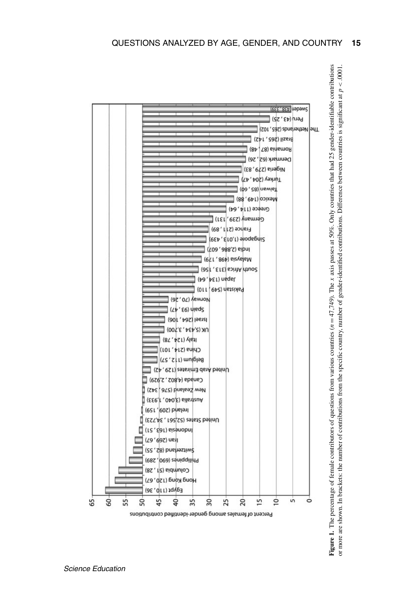



Science Education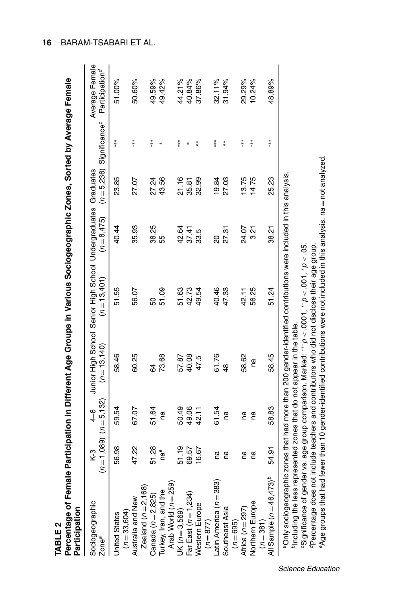TABLE<sub>2</sub>

| ູ່                                         |   |
|--------------------------------------------|---|
|                                            |   |
| ֧֧֚֚֚֚֚֚֚֚֚֚֚֚֚֚֚֚֚֚֚֚֚֚֚֚֚֚֚֝֬֟֡֡֡֬֝֟֩֬֝֟ |   |
|                                            |   |
|                                            |   |
|                                            |   |
|                                            |   |
|                                            |   |
|                                            |   |
|                                            |   |
|                                            |   |
|                                            |   |
|                                            |   |
|                                            |   |
|                                            |   |
| $\overline{\phantom{a}}$                   |   |
|                                            |   |
|                                            |   |
| j                                          |   |
| I                                          |   |
|                                            |   |
| Ù,                                         |   |
|                                            |   |
| ١                                          |   |
|                                            |   |
| i                                          | Ć |

| Percentage of Female Participation in Different Age Groups in Various Sociogeographic Zones, Sorted by Average Female<br>Participation |                      |                               |                |                                                                                   |                |       |                                       |                                              |
|----------------------------------------------------------------------------------------------------------------------------------------|----------------------|-------------------------------|----------------|-----------------------------------------------------------------------------------|----------------|-------|---------------------------------------|----------------------------------------------|
| Sociogeographic<br>$\mathsf{Zone}^{\mathsf{a}}$                                                                                        | $(n=1,089)$<br>$K-3$ | $(n=5, 132)$<br>$\frac{6}{4}$ | $(n=13, 140)$  | Junior High School Senior High School Undergraduates Graduates<br>$(n=13,401)$    | $(n=8,475)$    |       | $(n=5,236)$ Significance <sup>c</sup> | Average Female<br>Participation <sup>o</sup> |
| <b>Jnited States</b>                                                                                                                   | 56.98                | 59.54                         | 58.46          | 51.55                                                                             | 40.44          | 23.85 |                                       | 51.00%                                       |
| $(n=33,604)$<br>Australia and New                                                                                                      | 47.22                | 67.07                         | 60.25          | 56.07                                                                             | 35.93          | 27.07 | ***                                   | 50.60%                                       |
| Zealand $(n=2, 168)$<br>Canada $(n = 2,825)$                                                                                           | 51.28                | 51.64                         | S4             | 50                                                                                | 38.25          | 27.24 | ***                                   | 49.59%                                       |
| Turkey, Iran, and the                                                                                                                  | $na^e$               | <u>ອິ</u>                     | 73.68          | 51.09                                                                             | 55             | 43.56 |                                       | 49.42%                                       |
| Arab World (n = 259)                                                                                                                   |                      |                               |                |                                                                                   |                |       |                                       |                                              |
| $JK (n=3,569)$                                                                                                                         | 51.19                | 50.49                         | 57.87          | 51.63                                                                             | 42.64          | 21.16 | ***                                   | 44.21%                                       |
| Far East $(n = 1, 234)$                                                                                                                | 69.57                | 49.06                         | 40.08          | 42.73                                                                             | 37.41          | 35.81 |                                       | 40.84%                                       |
| Western Europe                                                                                                                         | 16.67                | 42.11                         | 47.5           | 49.54                                                                             | 33.5           | 32.99 | $*$                                   | 37.86%                                       |
| $(n=877)$                                                                                                                              |                      |                               |                |                                                                                   |                |       |                                       |                                              |
| Latin America $(n = 383)$                                                                                                              | na                   | 61.54                         | 61.76          | 40.46                                                                             | 8              | 19.84 | ***                                   | 32.11%                                       |
| Southeast Asia                                                                                                                         | na                   | ma                            | $\frac{48}{5}$ | 47.33                                                                             | 27.31          | 27.03 | $*$                                   | 31.94%                                       |
| $(n=695)$                                                                                                                              |                      |                               |                |                                                                                   |                |       |                                       |                                              |
| Africa $(n=297)$                                                                                                                       | na                   | na                            | 58.62          | 42.11                                                                             | 24.07          | 13.75 | $***$                                 | 29.29%                                       |
| Northern Europe                                                                                                                        | na                   | na                            | <u>າສ</u>      | 56.25                                                                             | $\frac{21}{3}$ | 14.75 | ****                                  | 10.24%                                       |
| $(n=381)$                                                                                                                              |                      |                               |                |                                                                                   |                |       |                                       |                                              |
| All Sample $(n=46,473)^b$                                                                                                              | 54.91                | 58.83                         | 58.45          | 51.24                                                                             | 38.21          | 25.23 | ***                                   | 48.89%                                       |
| <sup>b</sup> Including the less represented zones that do not appear in the table.<br>aOnly sociogeographic zones that                 |                      |                               |                | had more than 200 gender-identified contributions were included in this analysis. |                |       |                                       |                                              |

cSignificance of gender vs. age group comparison. Marked: ∗∗∗

dPercentage does not include teachers and contributors who did not disclose their age group.

eAge groups that had fewer than 10 gender-identified contributions were not included in this analysis. na

p *<*.0001, ∗∗

p

*<* .001, ∗p *<* .05.

=

not analyzed.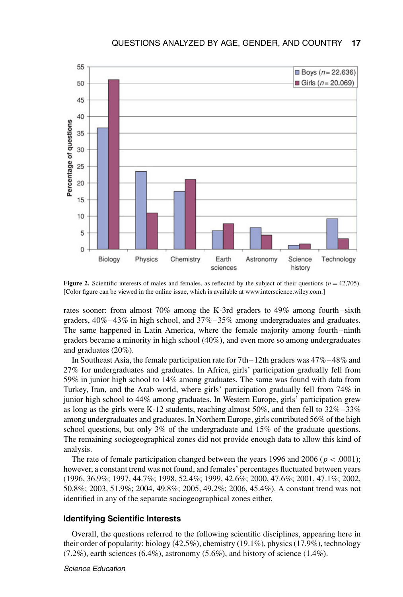

**Figure 2.** Scientific interests of males and females, as reflected by the subject of their questions ( $n = 42,705$ ). [Color figure can be viewed in the online issue, which is available at www.interscience.wiley.com.]

rates sooner: from almost 70% among the K-3rd graders to 49% among fourth–sixth graders,  $40\% - 43\%$  in high school, and  $37\% - 35\%$  among undergraduates and graduates. The same happened in Latin America, where the female majority among fourth–ninth graders became a minority in high school (40%), and even more so among undergraduates and graduates (20%).

In Southeast Asia, the female participation rate for 7th–12th graders was 47%–48% and 27% for undergraduates and graduates. In Africa, girls' participation gradually fell from 59% in junior high school to 14% among graduates. The same was found with data from Turkey, Iran, and the Arab world, where girls' participation gradually fell from 74% in junior high school to 44% among graduates. In Western Europe, girls' participation grew as long as the girls were K-12 students, reaching almost  $50\%$ , and then fell to  $32\% - 33\%$ among undergraduates and graduates. In Northern Europe, girls contributed 56% of the high school questions, but only 3% of the undergraduate and 15% of the graduate questions. The remaining sociogeographical zones did not provide enough data to allow this kind of analysis.

The rate of female participation changed between the years 1996 and 2006 (*p <* .0001); however, a constant trend was not found, and females' percentages fluctuated between years (1996, 36.9%; 1997, 44.7%; 1998, 52.4%; 1999, 42.6%; 2000, 47.6%; 2001, 47.1%; 2002, 50.8%; 2003, 51.9%; 2004, 49.8%; 2005, 49.2%; 2006, 45.4%). A constant trend was not identified in any of the separate sociogeographical zones either.

#### **Identifying Scientific Interests**

Overall, the questions referred to the following scientific disciplines, appearing here in their order of popularity: biology (42.5%), chemistry (19.1%), physics (17.9%), technology  $(7.2\%)$ , earth sciences  $(6.4\%)$ , astronomy  $(5.6\%)$ , and history of science  $(1.4\%)$ .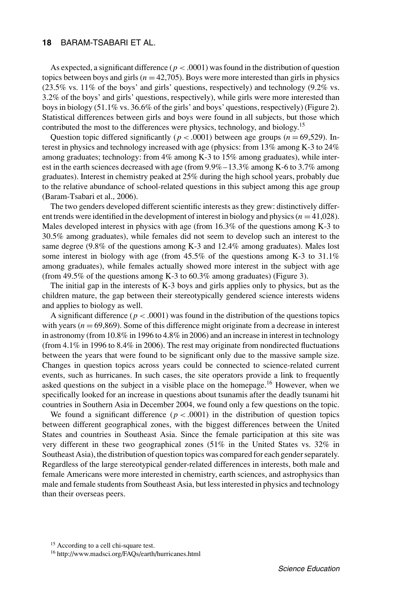As expected, a significant difference (*p <* .0001) was found in the distribution of question topics between boys and girls (*n* = 42,705). Boys were more interested than girls in physics  $(23.5\% \text{ vs. } 11\% \text{ of the boys'}$  and girls' questions, respectively) and technology  $(9.2\% \text{ vs. } 11\% \text{ of the boys'})$ 3.2% of the boys' and girls' questions, respectively), while girls were more interested than boys in biology (51.1% vs. 36.6% of the girls' and boys' questions, respectively) (Figure 2). Statistical differences between girls and boys were found in all subjects, but those which contributed the most to the differences were physics, technology, and biology.<sup>15</sup>

Question topic differed significantly ( $p < .0001$ ) between age groups ( $n = 69,529$ ). Interest in physics and technology increased with age (physics: from 13% among K-3 to 24% among graduates; technology: from 4% among K-3 to 15% among graduates), while interest in the earth sciences decreased with age (from 9.9%–13.3% among K-6 to 3.7% among graduates). Interest in chemistry peaked at 25% during the high school years, probably due to the relative abundance of school-related questions in this subject among this age group (Baram-Tsabari et al., 2006).

The two genders developed different scientific interests as they grew: distinctively different trends were identified in the development of interest in biology and physics  $(n = 41.028)$ . Males developed interest in physics with age (from 16.3% of the questions among K-3 to 30.5% among graduates), while females did not seem to develop such an interest to the same degree (9.8% of the questions among K-3 and 12.4% among graduates). Males lost some interest in biology with age (from  $45.5\%$  of the questions among K-3 to  $31.1\%$ ) among graduates), while females actually showed more interest in the subject with age (from 49.5% of the questions among K-3 to 60.3% among graduates) (Figure 3).

The initial gap in the interests of K-3 boys and girls applies only to physics, but as the children mature, the gap between their stereotypically gendered science interests widens and applies to biology as well.

A significant difference ( $p < .0001$ ) was found in the distribution of the questions topics with years ( $n = 69,869$ ). Some of this difference might originate from a decrease in interest in astronomy (from 10.8% in 1996 to 4.8% in 2006) and an increase in interest in technology (from 4.1% in 1996 to 8.4% in 2006). The rest may originate from nondirected fluctuations between the years that were found to be significant only due to the massive sample size. Changes in question topics across years could be connected to science-related current events, such as hurricanes. In such cases, the site operators provide a link to frequently asked questions on the subject in a visible place on the homepage.<sup>16</sup> However, when we specifically looked for an increase in questions about tsunamis after the deadly tsunami hit countries in Southern Asia in December 2004, we found only a few questions on the topic.

We found a significant difference  $(p < .0001)$  in the distribution of question topics between different geographical zones, with the biggest differences between the United States and countries in Southeast Asia. Since the female participation at this site was very different in these two geographical zones (51% in the United States vs. 32% in Southeast Asia), the distribution of question topics was compared for each gender separately. Regardless of the large stereotypical gender-related differences in interests, both male and female Americans were more interested in chemistry, earth sciences, and astrophysics than male and female students from Southeast Asia, but less interested in physics and technology than their overseas peers.

<sup>16</sup> http://www.madsci.org/FAQs/earth/hurricanes.html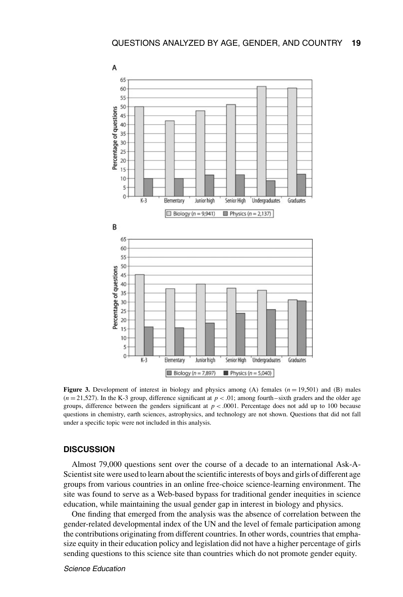

**Figure 3.** Development of interest in biology and physics among (A) females  $(n = 19,501)$  and (B) males  $(n=21,527)$ . In the K-3 group, difference significant at  $p < .01$ ; among fourth-sixth graders and the older age groups, difference between the genders significant at  $p < .0001$ . Percentage does not add up to 100 because questions in chemistry, earth sciences, astrophysics, and technology are not shown. Questions that did not fall under a specific topic were not included in this analysis.

# **DISCUSSION**

Almost 79,000 questions sent over the course of a decade to an international Ask-A-Scientist site were used to learn about the scientific interests of boys and girls of different age groups from various countries in an online free-choice science-learning environment. The site was found to serve as a Web-based bypass for traditional gender inequities in science education, while maintaining the usual gender gap in interest in biology and physics.

One finding that emerged from the analysis was the absence of correlation between the gender-related developmental index of the UN and the level of female participation among the contributions originating from different countries. In other words, countries that emphasize equity in their education policy and legislation did not have a higher percentage of girls sending questions to this science site than countries which do not promote gender equity.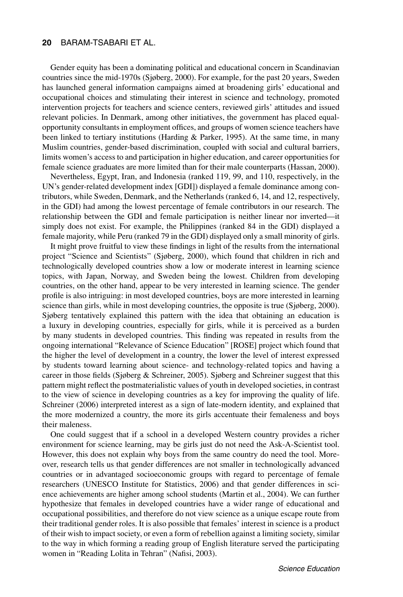Gender equity has been a dominating political and educational concern in Scandinavian countries since the mid-1970s (Sjøberg, 2000). For example, for the past 20 years, Sweden has launched general information campaigns aimed at broadening girls' educational and occupational choices and stimulating their interest in science and technology, promoted intervention projects for teachers and science centers, reviewed girls' attitudes and issued relevant policies. In Denmark, among other initiatives, the government has placed equalopportunity consultants in employment offices, and groups of women science teachers have been linked to tertiary institutions (Harding & Parker, 1995). At the same time, in many Muslim countries, gender-based discrimination, coupled with social and cultural barriers, limits women's access to and participation in higher education, and career opportunities for female science graduates are more limited than for their male counterparts (Hassan, 2000).

Nevertheless, Egypt, Iran, and Indonesia (ranked 119, 99, and 110, respectively, in the UN's gender-related development index [GDI]) displayed a female dominance among contributors, while Sweden, Denmark, and the Netherlands (ranked 6, 14, and 12, respectively, in the GDI) had among the lowest percentage of female contributors in our research. The relationship between the GDI and female participation is neither linear nor inverted—it simply does not exist. For example, the Philippines (ranked 84 in the GDI) displayed a female majority, while Peru (ranked 79 in the GDI) displayed only a small minority of girls.

It might prove fruitful to view these findings in light of the results from the international project "Science and Scientists" (Sjøberg, 2000), which found that children in rich and technologically developed countries show a low or moderate interest in learning science topics, with Japan, Norway, and Sweden being the lowest. Children from developing countries, on the other hand, appear to be very interested in learning science. The gender profile is also intriguing: in most developed countries, boys are more interested in learning science than girls, while in most developing countries, the opposite is true (Sjøberg, 2000). Sjøberg tentatively explained this pattern with the idea that obtaining an education is a luxury in developing countries, especially for girls, while it is perceived as a burden by many students in developed countries. This finding was repeated in results from the ongoing international "Relevance of Science Education" [ROSE] project which found that the higher the level of development in a country, the lower the level of interest expressed by students toward learning about science- and technology-related topics and having a career in those fields (Sjøberg & Schreiner, 2005). Sjøberg and Schreiner suggest that this pattern might reflect the postmaterialistic values of youth in developed societies, in contrast to the view of science in developing countries as a key for improving the quality of life. Schreiner (2006) interpreted interest as a sign of late-modern identity, and explained that the more modernized a country, the more its girls accentuate their femaleness and boys their maleness.

One could suggest that if a school in a developed Western country provides a richer environment for science learning, may be girls just do not need the Ask-A-Scientist tool. However, this does not explain why boys from the same country do need the tool. Moreover, research tells us that gender differences are not smaller in technologically advanced countries or in advantaged socioeconomic groups with regard to percentage of female researchers (UNESCO Institute for Statistics, 2006) and that gender differences in science achievements are higher among school students (Martin et al., 2004). We can further hypothesize that females in developed countries have a wider range of educational and occupational possibilities, and therefore do not view science as a unique escape route from their traditional gender roles. It is also possible that females' interest in science is a product of their wish to impact society, or even a form of rebellion against a limiting society, similar to the way in which forming a reading group of English literature served the participating women in "Reading Lolita in Tehran" (Nafisi, 2003).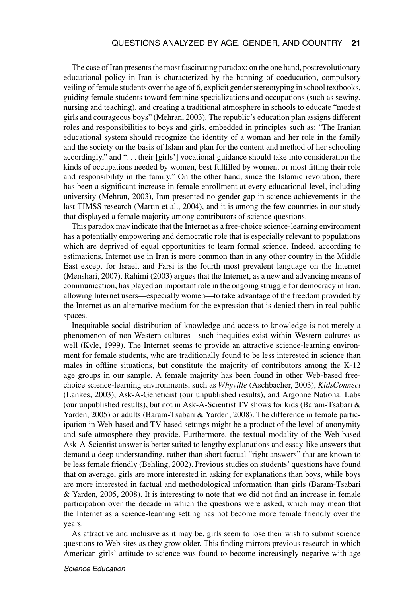The case of Iran presents the most fascinating paradox: on the one hand, postrevolutionary educational policy in Iran is characterized by the banning of coeducation, compulsory veiling of female students over the age of 6, explicit gender stereotyping in school textbooks, guiding female students toward feminine specializations and occupations (such as sewing, nursing and teaching), and creating a traditional atmosphere in schools to educate "modest girls and courageous boys" (Mehran, 2003). The republic's education plan assigns different roles and responsibilities to boys and girls, embedded in principles such as: "The Iranian educational system should recognize the identity of a woman and her role in the family and the society on the basis of Islam and plan for the content and method of her schooling accordingly," and ". . . their [girls'] vocational guidance should take into consideration the kinds of occupations needed by women, best fulfilled by women, or most fitting their role and responsibility in the family." On the other hand, since the Islamic revolution, there has been a significant increase in female enrollment at every educational level, including university (Mehran, 2003), Iran presented no gender gap in science achievements in the last TIMSS research (Martin et al., 2004), and it is among the few countries in our study that displayed a female majority among contributors of science questions.

This paradox may indicate that the Internet as a free-choice science-learning environment has a potentially empowering and democratic role that is especially relevant to populations which are deprived of equal opportunities to learn formal science. Indeed, according to estimations, Internet use in Iran is more common than in any other country in the Middle East except for Israel, and Farsi is the fourth most prevalent language on the Internet (Menshari, 2007). Rahimi (2003) argues that the Internet, as a new and advancing means of communication, has played an important role in the ongoing struggle for democracy in Iran, allowing Internet users—especially women—to take advantage of the freedom provided by the Internet as an alternative medium for the expression that is denied them in real public spaces.

Inequitable social distribution of knowledge and access to knowledge is not merely a phenomenon of non-Western cultures—such inequities exist within Western cultures as well (Kyle, 1999). The Internet seems to provide an attractive science-learning environment for female students, who are traditionally found to be less interested in science than males in offline situations, but constitute the majority of contributors among the K-12 age groups in our sample. A female majority has been found in other Web-based freechoice science-learning environments, such as *Whyville* (Aschbacher, 2003), *KidsConnect* (Lankes, 2003), Ask-A-Geneticist (our unpublished results), and Argonne National Labs (our unpublished results), but not in Ask-A-Scientist TV shows for kids (Baram-Tsabari & Yarden, 2005) or adults (Baram-Tsabari & Yarden, 2008). The difference in female participation in Web-based and TV-based settings might be a product of the level of anonymity and safe atmosphere they provide. Furthermore, the textual modality of the Web-based Ask-A-Scientist answer is better suited to lengthy explanations and essay-like answers that demand a deep understanding, rather than short factual "right answers" that are known to be less female friendly (Behling, 2002). Previous studies on students' questions have found that on average, girls are more interested in asking for explanations than boys, while boys are more interested in factual and methodological information than girls (Baram-Tsabari & Yarden, 2005, 2008). It is interesting to note that we did not find an increase in female participation over the decade in which the questions were asked, which may mean that the Internet as a science-learning setting has not become more female friendly over the years.

As attractive and inclusive as it may be, girls seem to lose their wish to submit science questions to Web sites as they grow older. This finding mirrors previous research in which American girls' attitude to science was found to become increasingly negative with age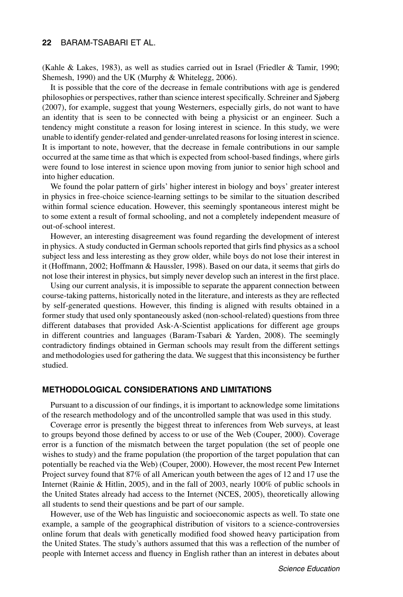(Kahle & Lakes, 1983), as well as studies carried out in Israel (Friedler & Tamir, 1990; Shemesh, 1990) and the UK (Murphy & Whitelegg, 2006).

It is possible that the core of the decrease in female contributions with age is gendered philosophies or perspectives, rather than science interest specifically. Schreiner and Sjøberg (2007), for example, suggest that young Westerners, especially girls, do not want to have an identity that is seen to be connected with being a physicist or an engineer. Such a tendency might constitute a reason for losing interest in science. In this study, we were unable to identify gender-related and gender-unrelated reasons for losing interest in science. It is important to note, however, that the decrease in female contributions in our sample occurred at the same time as that which is expected from school-based findings, where girls were found to lose interest in science upon moving from junior to senior high school and into higher education.

We found the polar pattern of girls' higher interest in biology and boys' greater interest in physics in free-choice science-learning settings to be similar to the situation described within formal science education. However, this seemingly spontaneous interest might be to some extent a result of formal schooling, and not a completely independent measure of out-of-school interest.

However, an interesting disagreement was found regarding the development of interest in physics. A study conducted in German schools reported that girls find physics as a school subject less and less interesting as they grow older, while boys do not lose their interest in it (Hoffmann, 2002; Hoffmann & Haussler, 1998). Based on our data, it seems that girls do not lose their interest in physics, but simply never develop such an interest in the first place.

Using our current analysis, it is impossible to separate the apparent connection between course-taking patterns, historically noted in the literature, and interests as they are reflected by self-generated questions. However, this finding is aligned with results obtained in a former study that used only spontaneously asked (non-school-related) questions from three different databases that provided Ask-A-Scientist applications for different age groups in different countries and languages (Baram-Tsabari & Yarden, 2008). The seemingly contradictory findings obtained in German schools may result from the different settings and methodologies used for gathering the data. We suggest that this inconsistency be further studied.

# **METHODOLOGICAL CONSIDERATIONS AND LIMITATIONS**

Pursuant to a discussion of our findings, it is important to acknowledge some limitations of the research methodology and of the uncontrolled sample that was used in this study.

Coverage error is presently the biggest threat to inferences from Web surveys, at least to groups beyond those defined by access to or use of the Web (Couper, 2000). Coverage error is a function of the mismatch between the target population (the set of people one wishes to study) and the frame population (the proportion of the target population that can potentially be reached via the Web) (Couper, 2000). However, the most recent Pew Internet Project survey found that 87% of all American youth between the ages of 12 and 17 use the Internet (Rainie & Hitlin, 2005), and in the fall of 2003, nearly 100% of public schools in the United States already had access to the Internet (NCES, 2005), theoretically allowing all students to send their questions and be part of our sample.

However, use of the Web has linguistic and socioeconomic aspects as well. To state one example, a sample of the geographical distribution of visitors to a science-controversies online forum that deals with genetically modified food showed heavy participation from the United States. The study's authors assumed that this was a reflection of the number of people with Internet access and fluency in English rather than an interest in debates about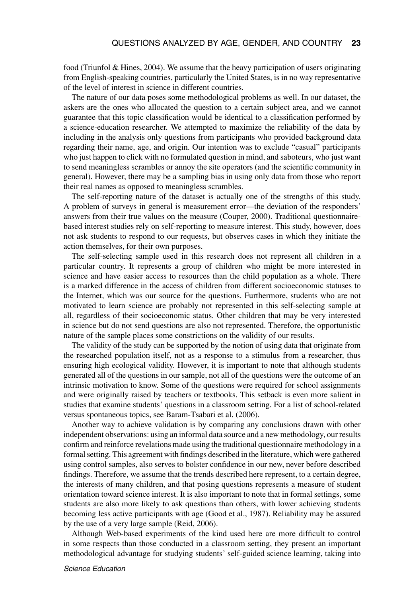food (Triunfol & Hines, 2004). We assume that the heavy participation of users originating from English-speaking countries, particularly the United States, is in no way representative of the level of interest in science in different countries.

The nature of our data poses some methodological problems as well. In our dataset, the askers are the ones who allocated the question to a certain subject area, and we cannot guarantee that this topic classification would be identical to a classification performed by a science-education researcher. We attempted to maximize the reliability of the data by including in the analysis only questions from participants who provided background data regarding their name, age, and origin. Our intention was to exclude "casual" participants who just happen to click with no formulated question in mind, and saboteurs, who just want to send meaningless scrambles or annoy the site operators (and the scientific community in general). However, there may be a sampling bias in using only data from those who report their real names as opposed to meaningless scrambles.

The self-reporting nature of the dataset is actually one of the strengths of this study. A problem of surveys in general is measurement error—the deviation of the responders' answers from their true values on the measure (Couper, 2000). Traditional questionnairebased interest studies rely on self-reporting to measure interest. This study, however, does not ask students to respond to our requests, but observes cases in which they initiate the action themselves, for their own purposes.

The self-selecting sample used in this research does not represent all children in a particular country. It represents a group of children who might be more interested in science and have easier access to resources than the child population as a whole. There is a marked difference in the access of children from different socioeconomic statuses to the Internet, which was our source for the questions. Furthermore, students who are not motivated to learn science are probably not represented in this self-selecting sample at all, regardless of their socioeconomic status. Other children that may be very interested in science but do not send questions are also not represented. Therefore, the opportunistic nature of the sample places some constrictions on the validity of our results.

The validity of the study can be supported by the notion of using data that originate from the researched population itself, not as a response to a stimulus from a researcher, thus ensuring high ecological validity. However, it is important to note that although students generated all of the questions in our sample, not all of the questions were the outcome of an intrinsic motivation to know. Some of the questions were required for school assignments and were originally raised by teachers or textbooks. This setback is even more salient in studies that examine students' questions in a classroom setting. For a list of school-related versus spontaneous topics, see Baram-Tsabari et al. (2006).

Another way to achieve validation is by comparing any conclusions drawn with other independent observations: using an informal data source and a new methodology, our results confirm and reinforce revelations made using the traditional questionnaire methodology in a formal setting. This agreement with findings described in the literature, which were gathered using control samples, also serves to bolster confidence in our new, never before described findings. Therefore, we assume that the trends described here represent, to a certain degree, the interests of many children, and that posing questions represents a measure of student orientation toward science interest. It is also important to note that in formal settings, some students are also more likely to ask questions than others, with lower achieving students becoming less active participants with age (Good et al., 1987). Reliability may be assured by the use of a very large sample (Reid, 2006).

Although Web-based experiments of the kind used here are more difficult to control in some respects than those conducted in a classroom setting, they present an important methodological advantage for studying students' self-guided science learning, taking into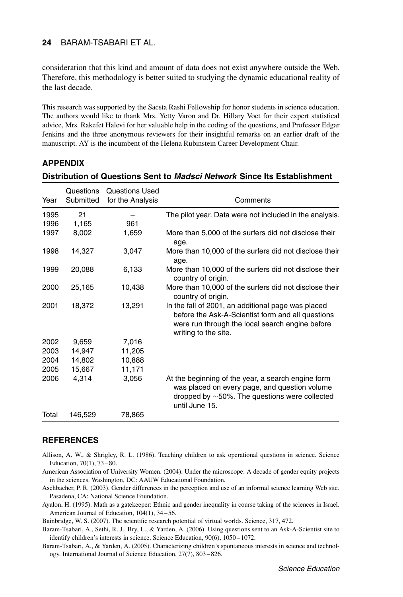consideration that this kind and amount of data does not exist anywhere outside the Web. Therefore, this methodology is better suited to studying the dynamic educational reality of the last decade.

This research was supported by the Sacsta Rashi Fellowship for honor students in science education. The authors would like to thank Mrs. Yetty Varon and Dr. Hillary Voet for their expert statistical advice, Mrs. Rakefet Halevi for her valuable help in the coding of the questions, and Professor Edgar Jenkins and the three anonymous reviewers for their insightful remarks on an earlier draft of the manuscript. AY is the incumbent of the Helena Rubinstein Career Development Chair.

# **APPENDIX**

| Year  | Questions<br>Submitted | <b>Questions Used</b><br>for the Analysis | Comments                                                                                                                                                                           |
|-------|------------------------|-------------------------------------------|------------------------------------------------------------------------------------------------------------------------------------------------------------------------------------|
| 1995  | 21                     |                                           | The pilot year. Data were not included in the analysis.                                                                                                                            |
| 1996  | 1,165                  | 961                                       |                                                                                                                                                                                    |
| 1997  | 8,002                  | 1,659                                     | More than 5,000 of the surfers did not disclose their<br>age.                                                                                                                      |
| 1998  | 14,327                 | 3,047                                     | More than 10,000 of the surfers did not disclose their<br>age.                                                                                                                     |
| 1999  | 20,088                 | 6,133                                     | More than 10,000 of the surfers did not disclose their<br>country of origin.                                                                                                       |
| 2000  | 25,165                 | 10,438                                    | More than 10,000 of the surfers did not disclose their<br>country of origin.                                                                                                       |
| 2001  | 18,372                 | 13,291                                    | In the fall of 2001, an additional page was placed<br>before the Ask-A-Scientist form and all questions<br>were run through the local search engine before<br>writing to the site. |
| 2002  | 9,659                  | 7,016                                     |                                                                                                                                                                                    |
| 2003  | 14,947                 | 11,205                                    |                                                                                                                                                                                    |
| 2004  | 14,802                 | 10,888                                    |                                                                                                                                                                                    |
| 2005  | 15,667                 | 11,171                                    |                                                                                                                                                                                    |
| 2006  | 4,314                  | 3,056                                     | At the beginning of the year, a search engine form<br>was placed on every page, and question volume<br>dropped by $\sim$ 50%. The questions were collected<br>until June 15.       |
| Total | 146,529                | 78,865                                    |                                                                                                                                                                                    |

# **Distribution of Questions Sent to Madsci Network Since Its Establishment**

# **REFERENCES**

Allison, A. W., & Shrigley, R. L. (1986). Teaching children to ask operational questions in science. Science Education, 70(1), 73 – 80.

American Association of University Women. (2004). Under the microscope: A decade of gender equity projects in the sciences. Washington, DC: AAUW Educational Foundation.

Aschbacher, P. R. (2003). Gender differences in the perception and use of an informal science learning Web site. Pasadena, CA: National Science Foundation.

Ayalon, H. (1995). Math as a gatekeeper: Ethnic and gender inequality in course taking of the sciences in Israel. American Journal of Education, 104(1), 34-56.

Bainbridge, W. S. (2007). The scientific research potential of virtual worlds. Science, 317, 472.

Baram-Tsabari, A., Sethi, R. J., Bry, L., & Yarden, A. (2006). Using questions sent to an Ask-A-Scientist site to identify children's interests in science. Science Education, 90(6), 1050 – 1072.

Baram-Tsabari, A., & Yarden, A. (2005). Characterizing children's spontaneous interests in science and technology. International Journal of Science Education, 27(7), 803 – 826.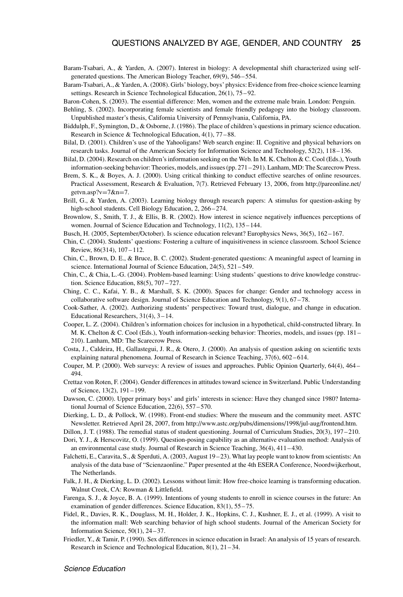- Baram-Tsabari, A., & Yarden, A. (2007). Interest in biology: A developmental shift characterized using selfgenerated questions. The American Biology Teacher, 69(9), 546 – 554.
- Baram-Tsabari, A., & Yarden, A. (2008). Girls' biology, boys' physics: Evidence from free-choice science learning settings. Research in Science Technological Education, 26(1), 75 – 92.
- Baron-Cohen, S. (2003). The essential difference: Men, women and the extreme male brain. London: Penguin.
- Behling, S. (2002). Incorporating female scientists and female friendly pedagogy into the biology classroom. Unpublished master's thesis, California University of Pennsylvania, California, PA.
- Biddulph, F., Symington, D., & Osborne, J. (1986). The place of children's questions in primary science education. Research in Science & Technological Education, 4(1), 77 – 88.
- Bilal, D. (2001). Children's use of the Yahooligans! Web search engine: II. Cognitive and physical behaviors on research tasks. Journal of the American Society for Information Science and Technology, 52(2), 118 – 136.
- Bilal, D. (2004). Research on children's information seeking on the Web. In M. K. Chelton & C. Cool (Eds.), Youth information-seeking behavior: Theories, models, and issues (pp. 271 – 291). Lanham, MD: The Scarecrow Press.
- Brem, S. K., & Boyes, A. J. (2000). Using critical thinking to conduct effective searches of online resources. Practical Assessment, Research & Evaluation, 7(7). Retrieved February 13, 2006, from http://pareonline.net/ getvn.asp?v=7&n=7.
- Brill, G., & Yarden, A. (2003). Learning biology through research papers: A stimulus for question-asking by high-school students. Cell Biology Education, 2, 266–274.
- Brownlow, S., Smith, T. J., & Ellis, B. R. (2002). How interest in science negatively influences perceptions of women. Journal of Science Education and Technology, 11(2), 135-144.
- Busch, H. (2005, September/October). Is science education relevant? Europhysics News, 36(5), 162 167.
- Chin, C. (2004). Students' questions: Fostering a culture of inquisitiveness in science classroom. School Science Review, 86(314), 107 – 112.
- Chin, C., Brown, D. E., & Bruce, B. C. (2002). Student-generated questions: A meaningful aspect of learning in science. International Journal of Science Education, 24(5), 521-549.
- Chin, C., & Chia, L.-G. (2004). Problem-based learning: Using students' questions to drive knowledge construction. Science Education, 88(5), 707 – 727.
- Ching, C. C., Kafai, Y. B., & Marshall, S. K. (2000). Spaces for change: Gender and technology access in collaborative software design. Journal of Science Education and Technology, 9(1), 67 – 78.
- Cook-Sather, A. (2002). Authorizing students' perspectives: Toward trust, dialogue, and change in education. Educational Researchers, 31(4), 3-14.
- Cooper, L. Z. (2004). Children's information choices for inclusion in a hypothetical, child-constructed library. In M. K. Chelton & C. Cool (Eds.), Youth information-seeking behavior: Theories, models, and issues (pp. 181 – 210). Lanham, MD: The Scarecrow Press.
- Costa, J., Caldeira, H., Gallastegui, J. R., & Otero, J. (2000). An analysis of question asking on scientific texts explaining natural phenomena. Journal of Research in Science Teaching, 37(6), 602 – 614.
- Couper, M. P. (2000). Web surveys: A review of issues and approaches. Public Opinion Quarterly, 64(4), 464 494.
- Crettaz von Roten, F. (2004). Gender differences in attitudes toward science in Switzerland. Public Understanding of Science, 13(2), 191 – 199.
- Dawson, C. (2000). Upper primary boys' and girls' interests in science: Have they changed since 1980? International Journal of Science Education, 22(6), 557 – 570.
- Dierking, L. D., & Pollock, W. (1998). Front-end studies: Where the museum and the community meet. ASTC Newsletter. Retrieved April 28, 2007, from http://www.astc.org/pubs/dimensions/1998/jul-aug/frontend.htm.
- Dillon, J. T. (1988). The remedial status of student questioning. Journal of Curriculum Studies, 20(3), 197 210.
- Dori, Y. J., & Herscovitz, O. (1999). Question-posing capability as an alternative evaluation method: Analysis of an environmental case study. Journal of Research in Science Teaching, 36(4), 411 – 430.
- Falchetti, E., Caravita, S., & Sperduti, A. (2003, August 19 23). What lay people want to know from scientists: An analysis of the data base of "Scienzaonline." Paper presented at the 4th ESERA Conference, Noordwijkerhout, The Netherlands.
- Falk, J. H., & Dierking, L. D. (2002). Lessons without limit: How free-choice learning is transforming education. Walnut Creek, CA: Rowman & Littlefield.
- Farenga, S. J., & Joyce, B. A. (1999). Intentions of young students to enroll in science courses in the future: An examination of gender differences. Science Education, 83(1), 55 – 75.
- Fidel, R., Davies, R. K., Douglass, M. H., Holder, J. K., Hopkins, C. J., Kushner, E. J., et al. (1999). A visit to the information mall: Web searching behavior of high school students. Journal of the American Society for Information Science,  $50(1)$ ,  $24-37$ .
- Friedler, Y., & Tamir, P. (1990). Sex differences in science education in Israel: An analysis of 15 years of research. Research in Science and Technological Education, 8(1), 21 – 34.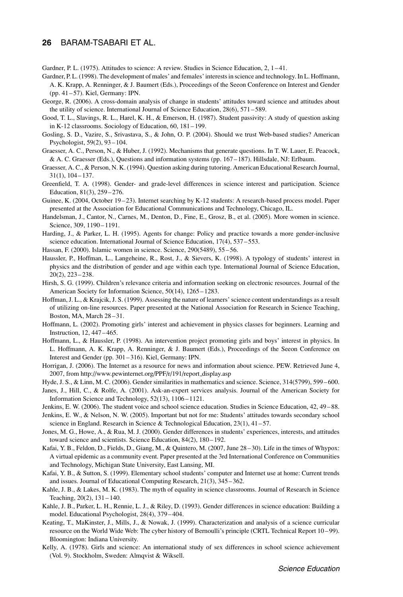Gardner, P. L. (1975). Attitudes to science: A review. Studies in Science Education, 2, 1 – 41.

- Gardner, P. L. (1998). The development of males' and females' interests in science and technology. In L. Hoffmann, A. K. Krapp, A. Renninger, & J. Baumert (Eds.), Proceedings of the Seeon Conference on Interest and Gender (pp. 41 – 57). Kiel, Germany: IPN.
- George, R. (2006). A cross-domain analysis of change in students' attitudes toward science and attitudes about the utility of science. International Journal of Science Education, 28(6), 571 – 589.
- Good, T. L., Slavings, R. L., Harel, K. H., & Emerson, H. (1987). Student passivity: A study of question asking in K-12 classrooms. Sociology of Education, 60, 181 – 199.
- Gosling, S. D., Vazire, S., Srivastava, S., & John, O. P. (2004). Should we trust Web-based studies? American Psychologist, 59(2), 93 – 104.
- Graesser, A. C., Person, N., & Huber, J. (1992). Mechanisms that generate questions. In T. W. Lauer, E. Peacock,  $& A. C. Graesser (Eds.), Questions and information systems (pp. 167–187). Hillsdale, NJ: Erlbaum.$
- Graesser, A. C., & Person, N. K. (1994). Question asking during tutoring. American Educational Research Journal,  $31(1), 104 - 137.$
- Greenfield, T. A. (1998). Gender- and grade-level differences in science interest and participation. Science Education, 81(3), 259 – 276.
- Guinee, K. (2004, October 19 23). Internet searching by K-12 students: A research-based process model. Paper presented at the Association for Educational Communications and Technology, Chicago, IL.
- Handelsman, J., Cantor, N., Carnes, M., Denton, D., Fine, E., Grosz, B., et al. (2005). More women in science. Science, 309, 1190-1191.
- Harding, J., & Parker, L. H. (1995). Agents for change: Policy and practice towards a more gender-inclusive science education. International Journal of Science Education, 17(4), 537 – 553.
- Hassan, F. (2000). Islamic women in science. Science, 290(5489), 55 56.
- Haussler, P., Hoffman, L., Langeheine, R., Rost, J., & Sievers, K. (1998). A typology of students' interest in physics and the distribution of gender and age within each type. International Journal of Science Education, 20(2), 223 – 238.
- Hirsh, S. G. (1999). Children's relevance criteria and information seeking on electronic resources. Journal of the American Society for Information Science, 50(14), 1265 – 1283.
- Hoffman, J. L., & Krajcik, J. S. (1999). Assessing the nature of learners' science content understandings as a result of utilizing on-line resources. Paper presented at the National Association for Research in Science Teaching, Boston, MA, March 28-31.
- Hoffmann, L. (2002). Promoting girls' interest and achievement in physics classes for beginners. Learning and Instruction, 12, 447 – 465.
- Hoffmann, L., & Haussler, P. (1998). An intervention project promoting girls and boys' interest in physics. In L. Hoffmann, A. K. Krapp, A. Renninger, & J. Baumert (Eds.), Proceedings of the Seeon Conference on Interest and Gender (pp. 301 – 316). Kiel, Germany: IPN.
- Horrigan, J. (2006). The Internet as a resource for news and information about science. PEW. Retrieved June 4, 2007, from http://www.pewinternet.org/PPF/r/191/report display.asp
- Hyde, J. S., & Linn, M. C. (2006). Gender similarities in mathematics and science. Science, 314(5799), 599 600.
- Janes, J., Hill, C., & Rolfe, A. (2001). Ask-an-expert services analysis. Journal of the American Society for Information Science and Technology, 52(13), 1106 – 1121.
- Jenkins, E. W. (2006). The student voice and school science education. Studies in Science Education, 42, 49 88.
- Jenkins, E. W., & Nelson, N. W. (2005). Important but not for me: Students' attitudes towards secondary school science in England. Research in Science & Technological Education, 23(1), 41-57.
- Jones, M. G., Howe, A., & Rua, M. J. (2000). Gender differences in students' experiences, interests, and attitudes toward science and scientists. Science Education, 84(2), 180-192.
- Kafai, Y. B., Feldon, D., Fields, D., Giang, M., & Quintero, M. (2007, June 28 30). Life in the times of Whypox: A virtual epidemic as a community event. Paper presented at the 3rd International Conference on Communities and Technology, Michigan State University, East Lansing, MI.
- Kafai, Y. B., & Sutton, S. (1999). Elementary school students' computer and Internet use at home: Current trends and issues. Journal of Educational Computing Research, 21(3), 345 – 362.
- Kahle, J. B., & Lakes, M. K. (1983). The myth of equality in science classrooms. Journal of Research in Science Teaching, 20(2), 131 – 140.
- Kahle, J. B., Parker, L. H., Rennie, L. J., & Riley, D. (1993). Gender differences in science education: Building a model. Educational Psychologist, 28(4), 379 – 404.
- Keating, T., MaKinster, J., Mills, J., & Nowak, J. (1999). Characterization and analysis of a science curricular resource on the World Wide Web: The cyber history of Bernoulli's principle (CRTL Technical Report 10 – 99). Bloomington: Indiana University.
- Kelly, A. (1978). Girls and science: An international study of sex differences in school science achievement (Vol. 9). Stockholm, Sweden: Almqvist & Wiksell.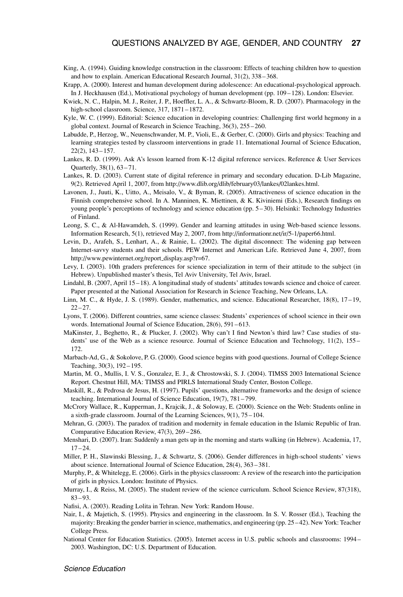- King, A. (1994). Guiding knowledge construction in the classroom: Effects of teaching children how to question and how to explain. American Educational Research Journal, 31(2), 338 – 368.
- Krapp, A. (2000). Interest and human development during adolescence: An educational-psychological approach. In J. Heckhausen (Ed.), Motivational psychology of human development (pp. 109 – 128). London: Elsevier.
- Kwiek, N. C., Halpin, M. J., Reiter, J. P., Hoeffler, L. A., & Schwartz-Bloom, R. D. (2007). Pharmacology in the high-school classroom. Science, 317, 1871-1872.
- Kyle, W. C. (1999). Editorial: Science education in developing countries: Challenging first world hegmony in a global context. Journal of Research in Science Teaching, 36(3), 255 – 260.
- Labudde, P., Herzog, W., Neuenschwander, M. P., Violi, E., & Gerber, C. (2000). Girls and physics: Teaching and learning strategies tested by classroom interventions in grade 11. International Journal of Science Education, 22(2), 143 – 157.
- Lankes, R. D. (1999). Ask A's lesson learned from K-12 digital reference services. Reference & User Services Quarterly, 38(1), 63 – 71.
- Lankes, R. D. (2003). Current state of digital reference in primary and secondary education. D-Lib Magazine, 9(2). Retrieved April 1, 2007, from http://www.dlib.org/dlib/february03/lankes/02lankes.html.
- Lavonen, J., Juuti, K., Uitto, A., Meisalo, V., & Byman, R. (2005). Attractiveness of science education in the Finnish comprehensive school. In A. Manninen, K. Miettinen, & K. Kiviniemi (Eds.), Research findings on young people's perceptions of technology and science education (pp. 5 – 30). Helsinki: Technology Industries of Finland.
- Leong, S. C., & Al-Hawamdeh, S. (1999). Gender and learning attitudes in using Web-based science lessons. Information Research, 5(1), retrieved May 2, 2007, from http://informationr.net/ir/5-1/paper66.html.
- Levin, D., Arafeh, S., Lenhart, A., & Rainie, L. (2002). The digital disconnect: The widening gap between Internet-savvy students and their schools. PEW Internet and American Life. Retrieved June 4, 2007, from http://www.pewinternet.org/report\_display.asp?r=67.
- Levy, I. (2003). 10th graders preferences for science specialization in term of their attitude to the subject (in Hebrew). Unpublished master's thesis, Tel Aviv University, Tel Aviv, Israel.
- Lindahl, B. (2007, April 15–18). A longitudinal study of students' attitudes towards science and choice of career. Paper presented at the National Association for Research in Science Teaching, New Orleans, LA.
- Linn, M. C., & Hyde, J. S. (1989). Gender, mathematics, and science. Educational Researcher, 18(8), 17 19,  $22 - 27$ .
- Lyons, T. (2006). Different countries, same science classes: Students' experiences of school science in their own words. International Journal of Science Education, 28(6), 591-613.
- MaKinster, J., Beghetto, R., & Plucker, J. (2002). Why can't I find Newton's third law? Case studies of students' use of the Web as a science resource. Journal of Science Education and Technology, 11(2), 155-172.
- Marbach-Ad, G., & Sokolove, P. G. (2000). Good science begins with good questions. Journal of College Science Teaching, 30(3), 192-195.
- Martin, M. O., Mullis, I. V. S., Gonzalez, E. J., & Chrostowski, S. J. (2004). TIMSS 2003 International Science Report. Chestnut Hill, MA: TIMSS and PIRLS International Study Center, Boston College.
- Maskill, R., & Pedrosa de Jesus, H. (1997). Pupils' questions, alternative frameworks and the design of science teaching. International Journal of Science Education, 19(7), 781 – 799.
- McCrory Wallace, R., Kupperman, J., Krajcik, J., & Soloway, E. (2000). Science on the Web: Students online in a sixth-grade classroom. Journal of the Learning Sciences, 9(1), 75 – 104.
- Mehran, G. (2003). The paradox of tradition and modernity in female education in the Islamic Republic of Iran. Comparative Education Review, 47(3), 269 – 286.
- Menshari, D. (2007). Iran: Suddenly a man gets up in the morning and starts walking (in Hebrew). Academia, 17,  $17 - 24.$
- Miller, P. H., Slawinski Blessing, J., & Schwartz, S. (2006). Gender differences in high-school students' views about science. International Journal of Science Education, 28(4), 363 – 381.
- Murphy, P., & Whitelegg, E. (2006). Girls in the physics classroom: A review of the research into the participation of girls in physics. London: Institute of Physics.
- Murray, I., & Reiss, M. (2005). The student review of the science curriculum. School Science Review, 87(318), 83 – 93.
- Nafisi, A. (2003). Reading Lolita in Tehran. New York: Random House.
- Nair, I., & Majetich, S. (1995). Physics and engineering in the classroom. In S. V. Rosser (Ed.), Teaching the majority: Breaking the gender barrier in science, mathematics, and engineering (pp. 25 – 42). New York: Teacher College Press.
- National Center for Education Statistics. (2005). Internet access in U.S. public schools and classrooms: 1994 2003. Washington, DC: U.S. Department of Education.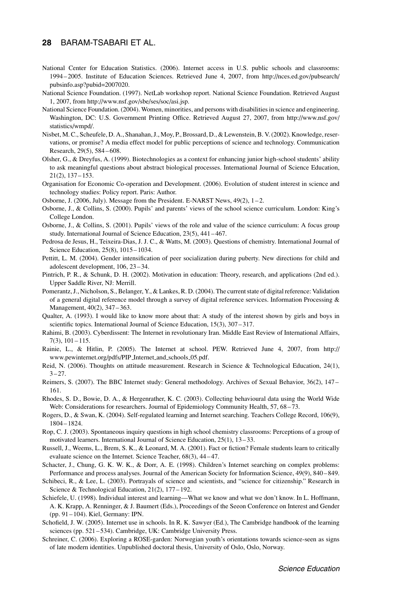- National Center for Education Statistics. (2006). Internet access in U.S. public schools and classrooms: 1994 – 2005. Institute of Education Sciences. Retrieved June 4, 2007, from http://nces.ed.gov/pubsearch/ pubsinfo.asp?pubid=2007020.
- National Science Foundation. (1997). NetLab workshop report. National Science Foundation. Retrieved August 1, 2007, from http://www.nsf.gov/sbe/ses/soc/asi.jsp.
- National Science Foundation. (2004). Women, minorities, and persons with disabilities in science and engineering. Washington, DC: U.S. Government Printing Office. Retrieved August 27, 2007, from http://www.nsf.gov/ statistics/wmpd/.
- Nisbet, M. C., Scheufele, D. A., Shanahan, J., Moy, P., Brossard, D., & Lewenstein, B. V. (2002). Knowledge, reservations, or promise? A media effect model for public perceptions of science and technology. Communication Research, 29(5), 584 – 608.
- Olsher, G., & Dreyfus, A. (1999). Biotechnologies as a context for enhancing junior high-school students' ability to ask meaningful questions about abstract biological processes. International Journal of Science Education,  $21(2)$ ,  $137 - 153$ .
- Organisation for Economic Co-operation and Development. (2006). Evolution of student interest in science and technology studies: Policy report. Paris: Author.
- Osborne, J. (2006, July). Message from the President. E-NARST News, 49(2), 1 2.
- Osborne, J., & Collins, S. (2000). Pupils' and parents' views of the school science curriculum. London: King's College London.
- Osborne, J., & Collins, S. (2001). Pupils' views of the role and value of the science curriculum: A focus group study. International Journal of Science Education, 23(5), 441 – 467.
- Pedrosa de Jesus, H., Teixeira-Dias, J. J. C., & Watts, M. (2003). Questions of chemistry. International Journal of Science Education, 25(8), 1015 – 1034.
- Pettitt, L. M. (2004). Gender intensification of peer socialization during puberty. New directions for child and adolescent development, 106, 23 – 34.
- Pintrich, P. R., & Schunk, D. H. (2002). Motivation in education: Theory, research, and applications (2nd ed.). Upper Saddle River, NJ: Merrill.
- Pomerantz, J., Nicholson, S., Belanger, Y., & Lankes, R. D. (2004). The current state of digital reference: Validation of a general digital reference model through a survey of digital reference services. Information Processing & Management, 40(2), 347 – 363.
- Qualter, A. (1993). I would like to know more about that: A study of the interest shown by girls and boys in scientific topics. International Journal of Science Education, 15(3), 307–317.
- Rahimi, B. (2003). Cyberdissent: The Internet in revolutionary Iran. Middle East Review of International Affairs, 7(3), 101 – 115.
- Rainie, L., & Hitlin, P. (2005). The Internet at school. PEW. Retrieved June 4, 2007, from http:// www.pewinternet.org/pdfs/PIP\_Internet\_and\_schools\_05.pdf.
- Reid, N. (2006). Thoughts on attitude measurement. Research in Science & Technological Education, 24(1),  $3 - 27$
- Reimers, S. (2007). The BBC Internet study: General methodology. Archives of Sexual Behavior, 36(2), 147 161.
- Rhodes, S. D., Bowie, D. A., & Hergenrather, K. C. (2003). Collecting behavioural data using the World Wide Web: Considerations for researchers. Journal of Epidemiology Community Health, 57, 68–73.
- Rogers, D., & Swan, K. (2004). Self-regulated learning and Internet searching. Teachers College Record, 106(9), 1804 – 1824.
- Rop, C. J. (2003). Spontaneous inquiry questions in high school chemistry classrooms: Perceptions of a group of motivated learners. International Journal of Science Education, 25(1), 13 – 33.
- Russell, J., Weems, L., Brem, S. K., & Leonard, M. A. (2001). Fact or fiction? Female students learn to critically evaluate science on the Internet. Science Teacher, 68(3), 44 – 47.
- Schacter, J., Chung, G. K. W. K., & Dorr, A. E. (1998). Children's Internet searching on complex problems: Performance and process analyses. Journal of the American Society for Information Science, 49(9), 840 – 849.
- Schibeci, R., & Lee, L. (2003). Portrayals of science and scientists, and "science for citizenship." Research in Science & Technological Education, 21(2), 177 – 192.
- Schiefele, U. (1998). Individual interest and learning—What we know and what we don't know. In L. Hoffmann, A. K. Krapp, A. Renninger, & J. Baumert (Eds.), Proceedings of the Seeon Conference on Interest and Gender (pp. 91 – 104). Kiel, Germany: IPN.
- Schofield, J. W. (2005). Internet use in schools. In R. K. Sawyer (Ed.), The Cambridge handbook of the learning sciences (pp. 521-534). Cambridge, UK: Cambridge University Press.
- Schreiner, C. (2006). Exploring a ROSE-garden: Norwegian youth's orientations towards science-seen as signs of late modern identities. Unpublished doctoral thesis, University of Oslo, Oslo, Norway.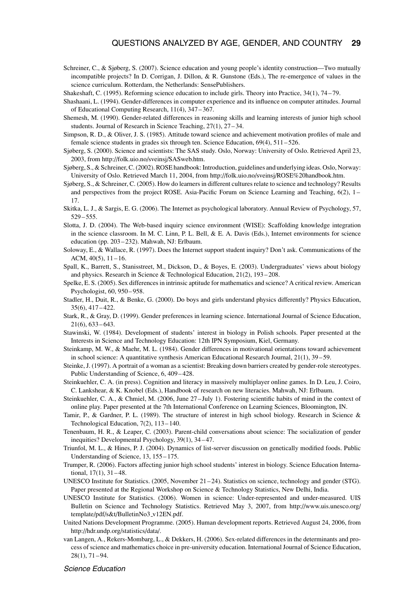- Schreiner, C., & Sjøberg, S. (2007). Science education and young people's identity construction—Two mutually incompatible projects? In D. Corrigan, J. Dillon, & R. Gunstone (Eds.), The re-emergence of values in the science curriculum. Rotterdam, the Netherlands: SensePublishers.
- Shakeshaft, C. (1995). Reforming science education to include girls. Theory into Practice, 34(1), 74 79.
- Shashaani, L. (1994). Gender-differences in computer experience and its influence on computer attitudes. Journal of Educational Computing Research, 11(4), 347 – 367.
- Shemesh, M. (1990). Gender-related differences in reasoning skills and learning interests of junior high school students. Journal of Research in Science Teaching, 27(1), 27 – 34.
- Simpson, R. D., & Oliver, J. S. (1985). Attitude toward science and achievement motivation profiles of male and female science students in grades six through ten. Science Education, 69(4), 511 – 526.
- Sjøberg, S. (2000). Science and scientists: The SAS study. Oslo, Norway: University of Oslo. Retrieved April 23, 2003, from http://folk.uio.no/sveinsj/SASweb.htm.
- Sjøberg, S., & Schreiner, C. (2002). ROSE handbook: Introduction, guidelines and underlying ideas. Oslo, Norway: University of Oslo. Retrieved March 11, 2004, from http://folk.uio.no/sveinsj/ROSE%20handbook.htm.
- Sjøberg, S., & Schreiner, C. (2005). How do learners in different cultures relate to science and technology? Results and perspectives from the project ROSE. Asia-Pacific Forum on Science Learning and Teaching, 6(2), 1– 17.
- Skitka, L. J., & Sargis, E. G. (2006). The Internet as psychological laboratory. Annual Review of Psychology, 57,  $529 - 555.$
- Slotta, J. D. (2004). The Web-based inquiry science environment (WISE): Scaffolding knowledge integration in the science classroom. In M. C. Linn, P. L. Bell, & E. A. Davis (Eds.), Internet environments for science education (pp. 203 – 232). Mahwah, NJ: Erlbaum.
- Soloway, E., & Wallace, R. (1997). Does the Internet support student inquiry? Don't ask. Communications of the ACM,  $40(5)$ ,  $11-16$ .
- Spall, K., Barrett, S., Stanisstreet, M., Dickson, D., & Boyes, E. (2003). Undergraduates' views about biology and physics. Research in Science & Technological Education, 21(2), 193 – 208.
- Spelke, E. S. (2005). Sex differences in intrinsic aptitude for mathematics and science? A critical review. American Psychologist, 60, 950 – 958.
- Stadler, H., Duit, R., & Benke, G. (2000). Do boys and girls understand physics differently? Physics Education, 35(6), 417 – 422.
- Stark, R., & Gray, D. (1999). Gender preferences in learning science. International Journal of Science Education,  $21(6)$ , 633-643.
- Stawinski, W. (1984). Development of students' interest in biology in Polish schools. Paper presented at the Interests in Science and Technology Education: 12th IPN Symposium, Kiel, Germany.
- Steinkamp, M. W., & Maehr, M. L. (1984). Gender differences in motivational orientations toward achievement in school science: A quantitative synthesis American Educational Research Journal, 21(1), 39 – 59.
- Steinke, J. (1997). A portrait of a woman as a scientist: Breaking down barriers created by gender-role stereotypes. Public Understanding of Science, 6, 409 – 428.
- Steinkuehler, C. A. (in press). Cognition and literacy in massively multiplayer online games. In D. Leu, J. Coiro, C. Lankshear, & K. Knobel (Eds.), Handbook of research on new literacies. Mahwah, NJ: Erlbaum.
- Steinkuehler, C. A., & Chmiel, M. (2006, June 27 July 1). Fostering scientific habits of mind in the context of online play. Paper presented at the 7th International Conference on Learning Sciences, Bloomington, IN.
- Tamir, P., & Gardner, P. L. (1989). The structure of interest in high school biology. Research in Science & Technological Education, 7(2), 113 – 140.
- Tenenbaum, H. R., & Leaper, C. (2003). Parent-child conversations about science: The socialization of gender inequities? Developmental Psychology, 39(1), 34 – 47.
- Triunfol, M. L., & Hines, P. J. (2004). Dynamics of list-server discussion on genetically modified foods. Public Understanding of Science, 13, 155 – 175.
- Trumper, R. (2006). Factors affecting junior high school students' interest in biology. Science Education International,  $17(1)$ ,  $31-48$ .
- UNESCO Institute for Statistics. (2005, November 21–24). Statistics on science, technology and gender (STG). Paper presented at the Regional Workshop on Science & Technology Statistics, New Delhi, India.
- UNESCO Institute for Statistics. (2006). Women in science: Under-represented and under-measured. UIS Bulletin on Science and Technology Statistics. Retrieved May 3, 2007, from http://www.uis.unesco.org/ template/pdf/s&t/BulletinNo3\_v12EN.pdf.
- United Nations Development Programme. (2005). Human development reports. Retrieved August 24, 2006, from http://hdr.undp.org/statistics/data/.
- van Langen, A., Rekers-Mombarg, L., & Dekkers, H. (2006). Sex-related differences in the determinants and process of science and mathematics choice in pre-university education. International Journal of Science Education,  $28(1)$ ,  $71-94$ .